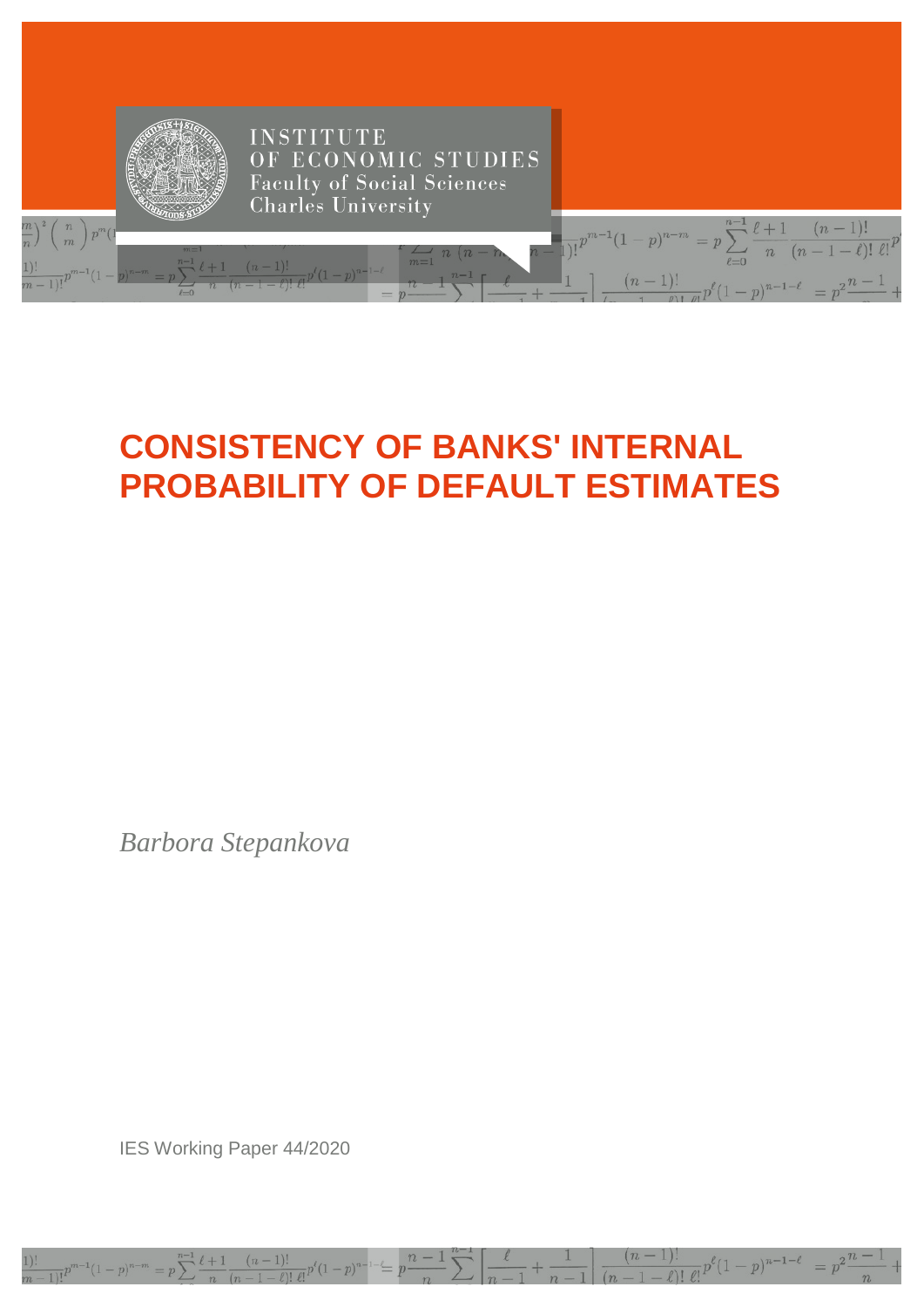

# **CONSISTENCY OF BANKS' INTERNAL PROBABILITY OF DEFAULT ESTIMATES**

*Barbora Stepankova*

IES Working Paper 44/2020

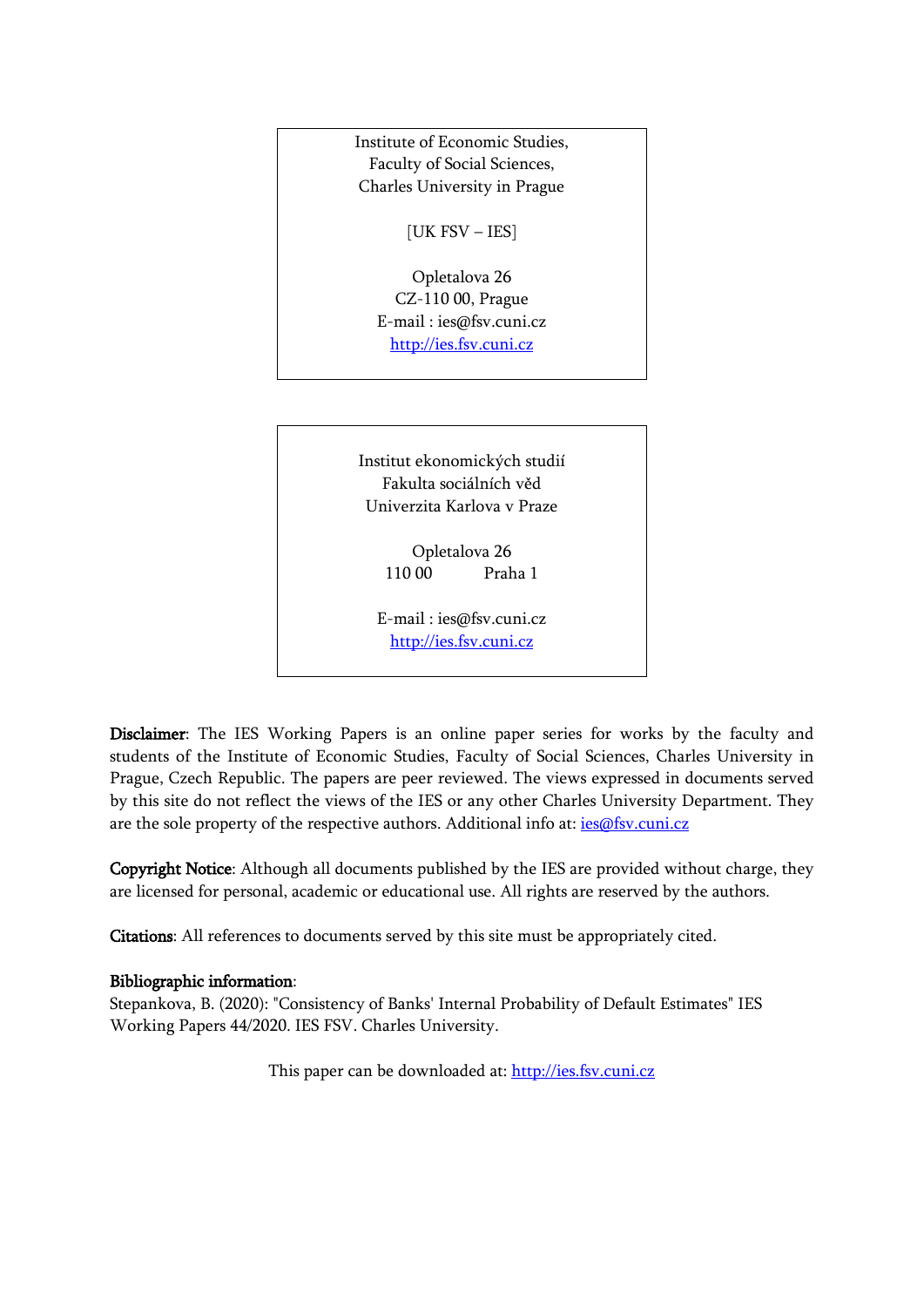

110 00 Praha 1

E-mail : [ies@fsv.cuni.cz](mailto:IES@Mbox.FSV.CUNI.CZ) [http://ies.fsv.cuni.cz](http://ies.fsv.cuni.cz/)

Disclaimer: The IES Working Papers is an online paper series for works by the faculty and students of the Institute of Economic Studies, Faculty of Social Sciences, Charles University in Prague, Czech Republic. The papers are peer reviewed. The views expressed in documents served by this site do not reflect the views of the IES or any other Charles University Department. They are the sole property of the respective authors. Additional info at: [ies@fsv.cuni.cz](mailto:ies@fsv.cuni.cz)

Copyright Notice: Although all documents published by the IES are provided without charge, they are licensed for personal, academic or educational use. All rights are reserved by the authors.

Citations: All references to documents served by this site must be appropriately cited.

## Bibliographic information:

Stepankova, B. (2020): "Consistency of Banks' Internal Probability of Default Estimates" IES Working Papers 44/2020. IES FSV. Charles University.

This paper can be downloaded at: [http://ies.fsv.cuni.cz](http://ies.fsv.cuni.cz/)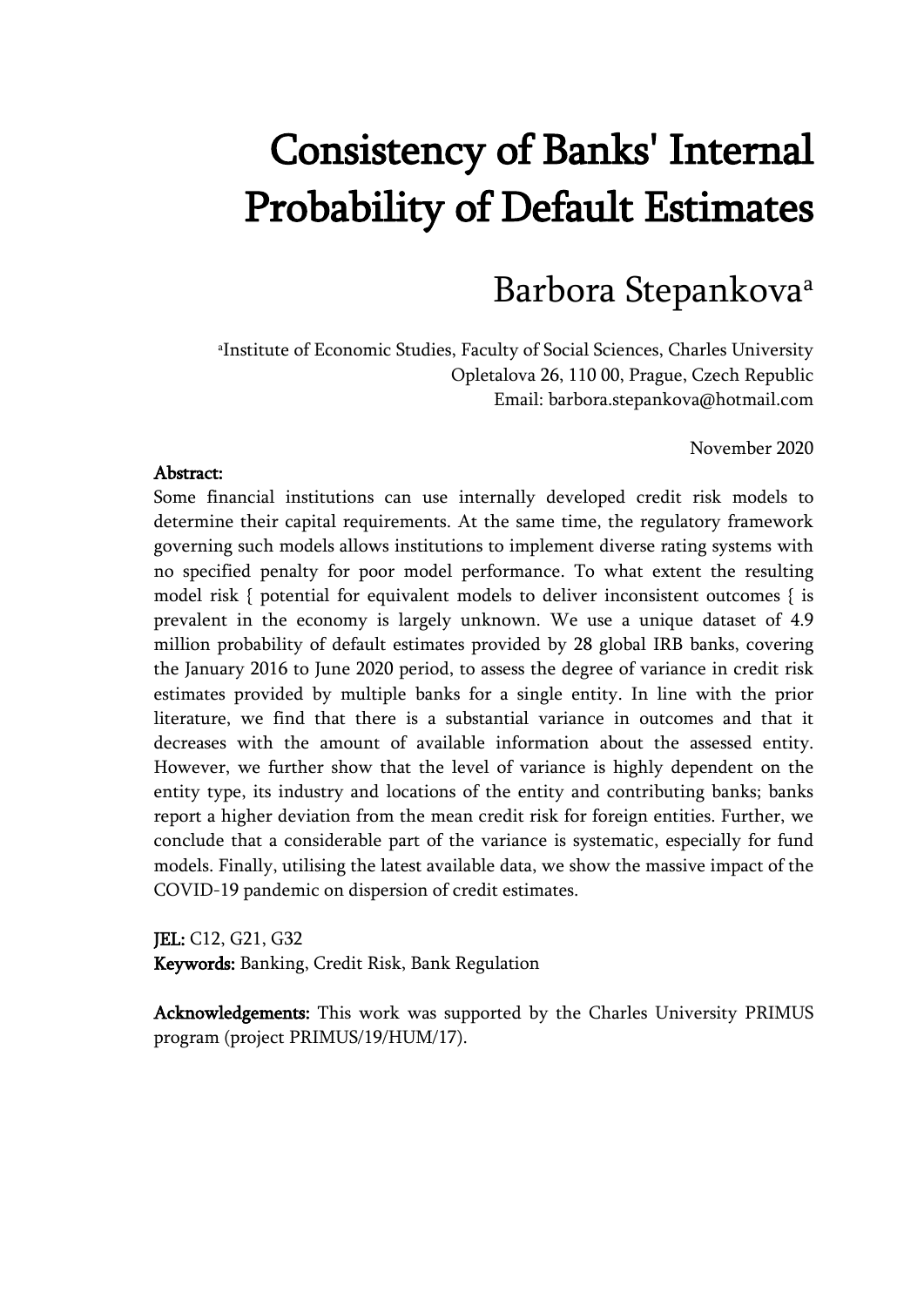# Consistency of Banks' Internal Probability of Default Estimates

# Barbora Stepankovaa

a Institute of Economic Studies, Faculty of Social Sciences, Charles University Opletalova 26, 110 00, Prague, Czech Republic Email: barbora.stepankova@hotmail.com

November 2020

### Abstract:

Some financial institutions can use internally developed credit risk models to determine their capital requirements. At the same time, the regulatory framework governing such models allows institutions to implement diverse rating systems with no specified penalty for poor model performance. To what extent the resulting model risk { potential for equivalent models to deliver inconsistent outcomes { is prevalent in the economy is largely unknown. We use a unique dataset of 4.9 million probability of default estimates provided by 28 global IRB banks, covering the January 2016 to June 2020 period, to assess the degree of variance in credit risk estimates provided by multiple banks for a single entity. In line with the prior literature, we find that there is a substantial variance in outcomes and that it decreases with the amount of available information about the assessed entity. However, we further show that the level of variance is highly dependent on the entity type, its industry and locations of the entity and contributing banks; banks report a higher deviation from the mean credit risk for foreign entities. Further, we conclude that a considerable part of the variance is systematic, especially for fund models. Finally, utilising the latest available data, we show the massive impact of the COVID-19 pandemic on dispersion of credit estimates.

JEL: C12, G21, G32 Keywords: Banking, Credit Risk, Bank Regulation

Acknowledgements: This work was supported by the Charles University PRIMUS program (project PRIMUS/19/HUM/17).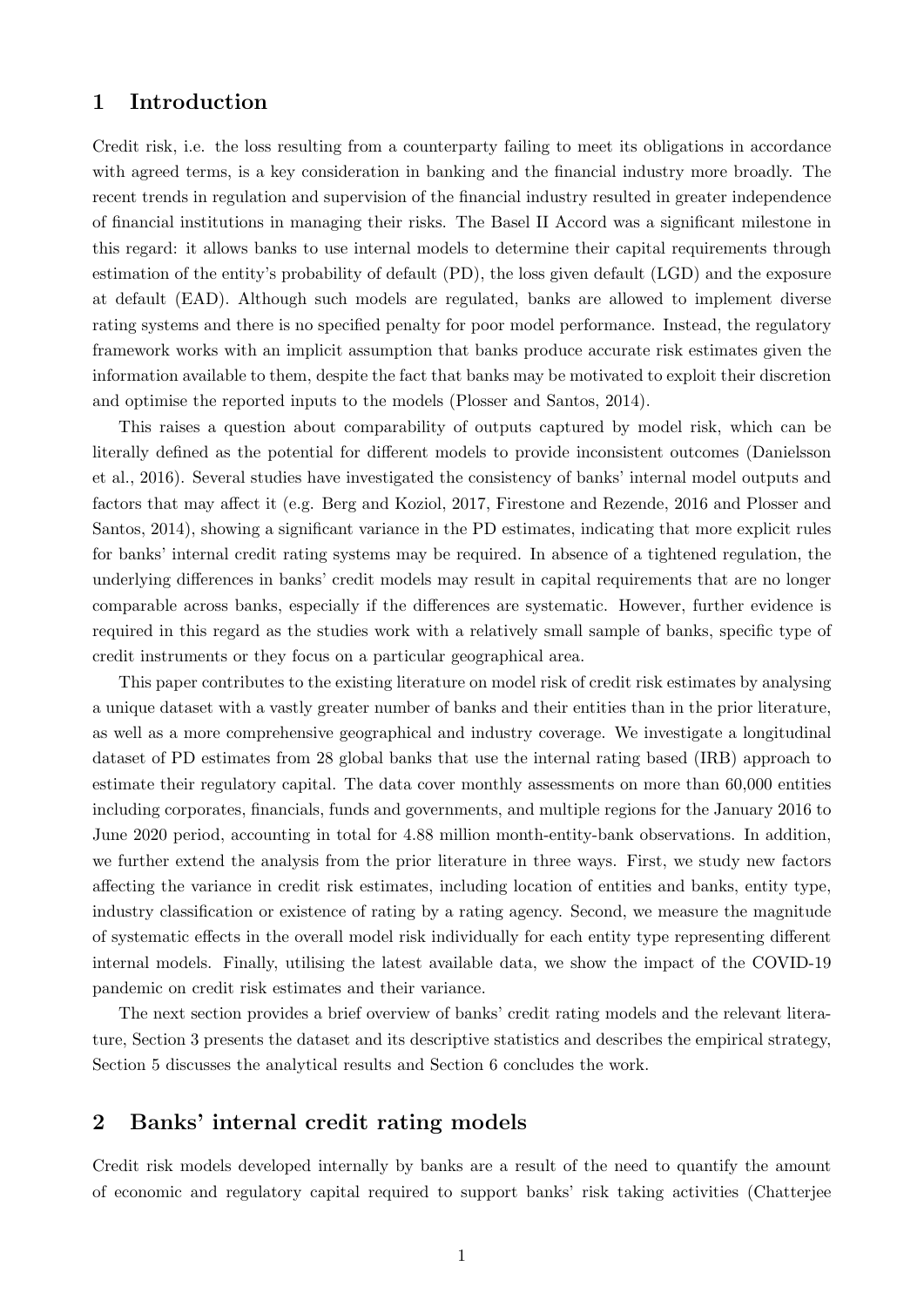## 1 Introduction

Credit risk, i.e. the loss resulting from a counterparty failing to meet its obligations in accordance with agreed terms, is a key consideration in banking and the financial industry more broadly. The recent trends in regulation and supervision of the financial industry resulted in greater independence of financial institutions in managing their risks. The Basel II Accord was a significant milestone in this regard: it allows banks to use internal models to determine their capital requirements through estimation of the entity's probability of default (PD), the loss given default (LGD) and the exposure at default (EAD). Although such models are regulated, banks are allowed to implement diverse rating systems and there is no specified penalty for poor model performance. Instead, the regulatory framework works with an implicit assumption that banks produce accurate risk estimates given the information available to them, despite the fact that banks may be motivated to exploit their discretion and optimise the reported inputs to the models (Plosser and Santos, 2014).

This raises a question about comparability of outputs captured by model risk, which can be literally defined as the potential for different models to provide inconsistent outcomes (Danielsson et al., 2016). Several studies have investigated the consistency of banks' internal model outputs and factors that may affect it (e.g. Berg and Koziol, 2017, Firestone and Rezende, 2016 and Plosser and Santos, 2014), showing a significant variance in the PD estimates, indicating that more explicit rules for banks' internal credit rating systems may be required. In absence of a tightened regulation, the underlying differences in banks' credit models may result in capital requirements that are no longer comparable across banks, especially if the differences are systematic. However, further evidence is required in this regard as the studies work with a relatively small sample of banks, specific type of credit instruments or they focus on a particular geographical area.

This paper contributes to the existing literature on model risk of credit risk estimates by analysing a unique dataset with a vastly greater number of banks and their entities than in the prior literature, as well as a more comprehensive geographical and industry coverage. We investigate a longitudinal dataset of PD estimates from 28 global banks that use the internal rating based (IRB) approach to estimate their regulatory capital. The data cover monthly assessments on more than 60,000 entities including corporates, financials, funds and governments, and multiple regions for the January 2016 to June 2020 period, accounting in total for 4.88 million month-entity-bank observations. In addition, we further extend the analysis from the prior literature in three ways. First, we study new factors affecting the variance in credit risk estimates, including location of entities and banks, entity type, industry classification or existence of rating by a rating agency. Second, we measure the magnitude of systematic effects in the overall model risk individually for each entity type representing different internal models. Finally, utilising the latest available data, we show the impact of the COVID-19 pandemic on credit risk estimates and their variance.

The next section provides a brief overview of banks' credit rating models and the relevant literature, Section 3 presents the dataset and its descriptive statistics and describes the empirical strategy, Section 5 discusses the analytical results and Section 6 concludes the work.

# 2 Banks' internal credit rating models

Credit risk models developed internally by banks are a result of the need to quantify the amount of economic and regulatory capital required to support banks' risk taking activities (Chatterjee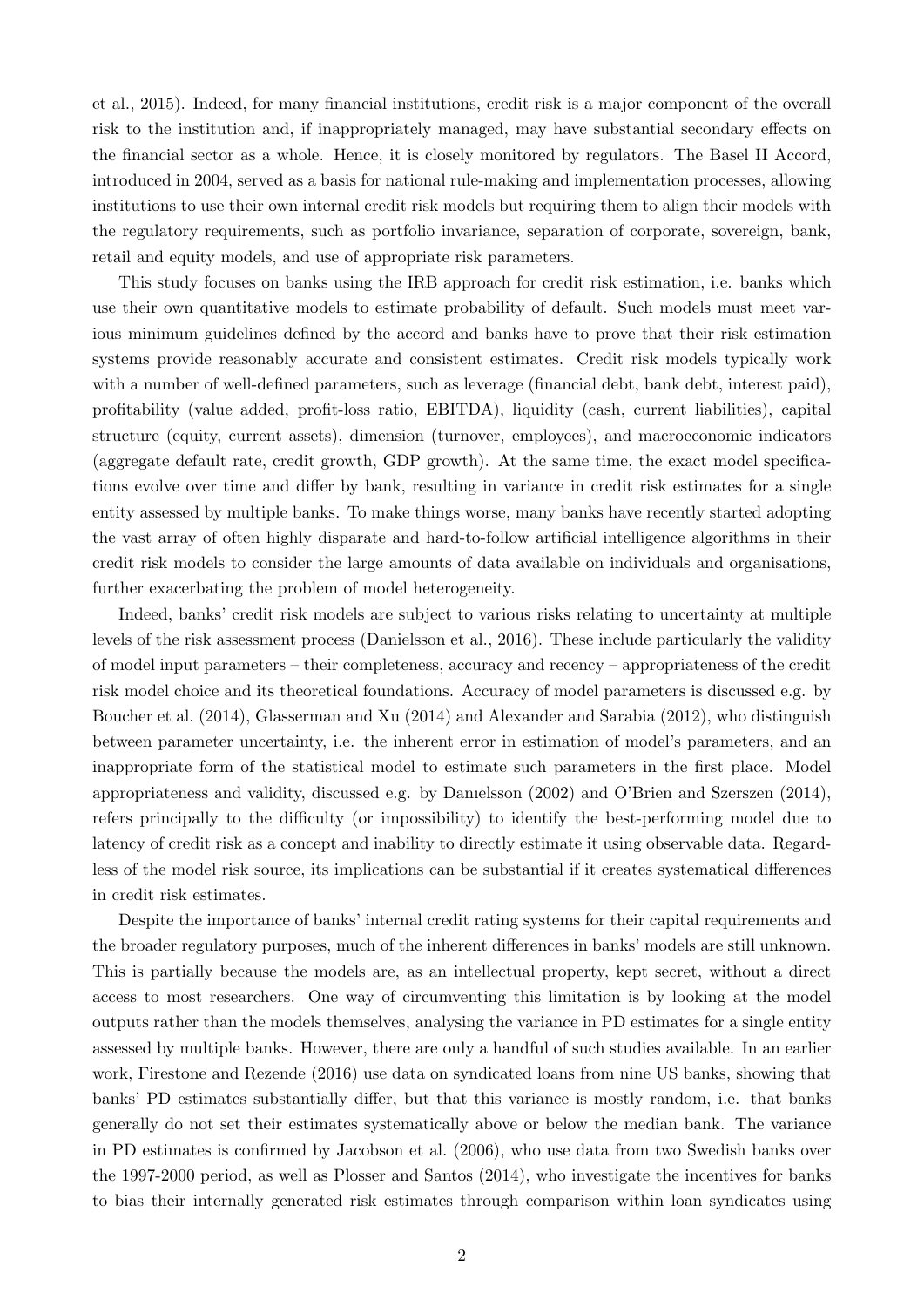et al., 2015). Indeed, for many financial institutions, credit risk is a major component of the overall risk to the institution and, if inappropriately managed, may have substantial secondary effects on the financial sector as a whole. Hence, it is closely monitored by regulators. The Basel II Accord, introduced in 2004, served as a basis for national rule-making and implementation processes, allowing institutions to use their own internal credit risk models but requiring them to align their models with the regulatory requirements, such as portfolio invariance, separation of corporate, sovereign, bank, retail and equity models, and use of appropriate risk parameters.

This study focuses on banks using the IRB approach for credit risk estimation, i.e. banks which use their own quantitative models to estimate probability of default. Such models must meet various minimum guidelines defined by the accord and banks have to prove that their risk estimation systems provide reasonably accurate and consistent estimates. Credit risk models typically work with a number of well-defined parameters, such as leverage (financial debt, bank debt, interest paid), profitability (value added, profit-loss ratio, EBITDA), liquidity (cash, current liabilities), capital structure (equity, current assets), dimension (turnover, employees), and macroeconomic indicators (aggregate default rate, credit growth, GDP growth). At the same time, the exact model specifications evolve over time and differ by bank, resulting in variance in credit risk estimates for a single entity assessed by multiple banks. To make things worse, many banks have recently started adopting the vast array of often highly disparate and hard-to-follow artificial intelligence algorithms in their credit risk models to consider the large amounts of data available on individuals and organisations, further exacerbating the problem of model heterogeneity.

Indeed, banks' credit risk models are subject to various risks relating to uncertainty at multiple levels of the risk assessment process (Danielsson et al., 2016). These include particularly the validity of model input parameters – their completeness, accuracy and recency – appropriateness of the credit risk model choice and its theoretical foundations. Accuracy of model parameters is discussed e.g. by Boucher et al. (2014), Glasserman and Xu (2014) and Alexander and Sarabia (2012), who distinguish between parameter uncertainty, i.e. the inherent error in estimation of model's parameters, and an inappropriate form of the statistical model to estimate such parameters in the first place. Model appropriateness and validity, discussed e.g. by Danıelsson (2002) and O'Brien and Szerszen (2014), refers principally to the difficulty (or impossibility) to identify the best-performing model due to latency of credit risk as a concept and inability to directly estimate it using observable data. Regardless of the model risk source, its implications can be substantial if it creates systematical differences in credit risk estimates.

Despite the importance of banks' internal credit rating systems for their capital requirements and the broader regulatory purposes, much of the inherent differences in banks' models are still unknown. This is partially because the models are, as an intellectual property, kept secret, without a direct access to most researchers. One way of circumventing this limitation is by looking at the model outputs rather than the models themselves, analysing the variance in PD estimates for a single entity assessed by multiple banks. However, there are only a handful of such studies available. In an earlier work, Firestone and Rezende (2016) use data on syndicated loans from nine US banks, showing that banks' PD estimates substantially differ, but that this variance is mostly random, i.e. that banks generally do not set their estimates systematically above or below the median bank. The variance in PD estimates is confirmed by Jacobson et al. (2006), who use data from two Swedish banks over the 1997-2000 period, as well as Plosser and Santos (2014), who investigate the incentives for banks to bias their internally generated risk estimates through comparison within loan syndicates using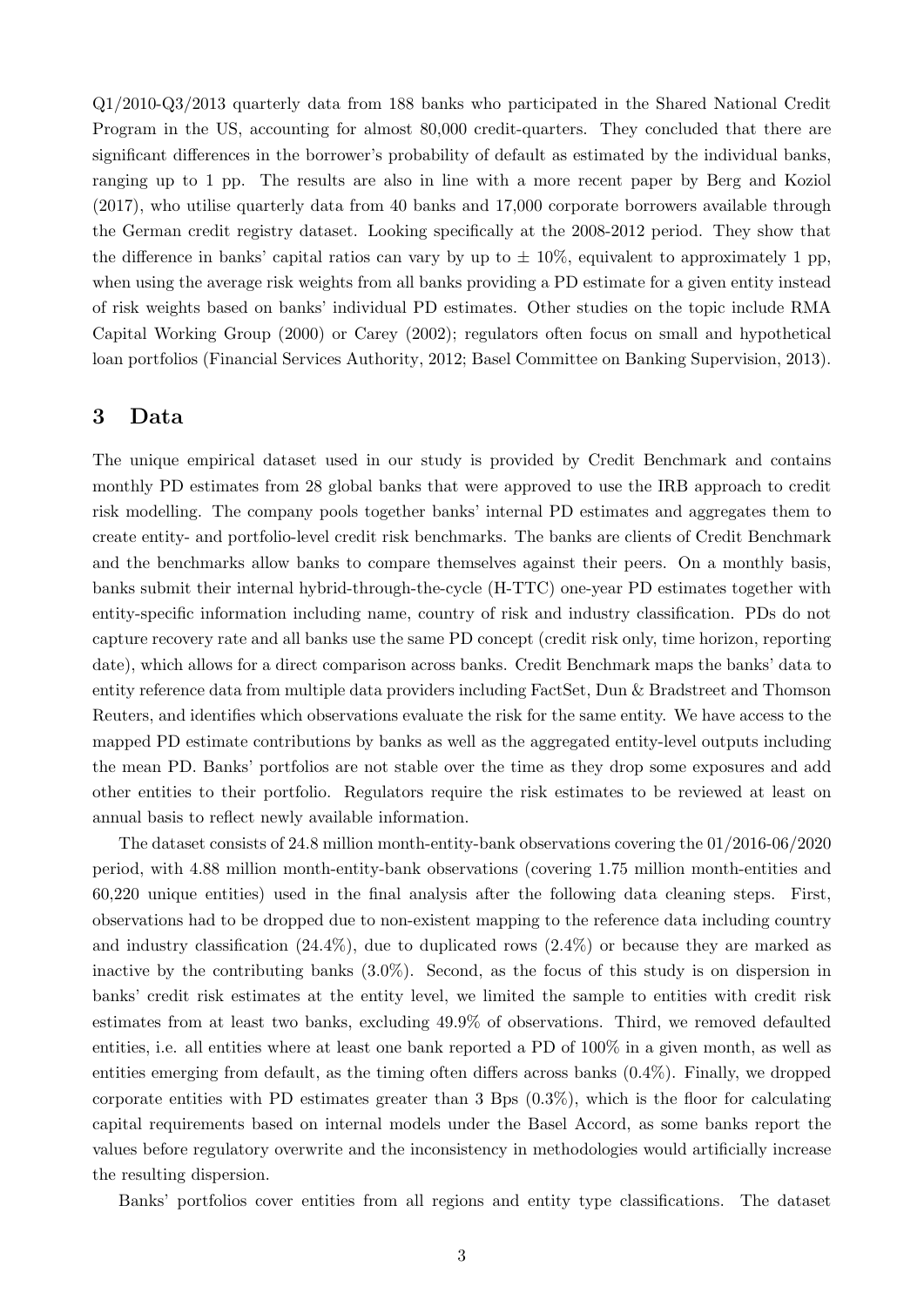Q1/2010-Q3/2013 quarterly data from 188 banks who participated in the Shared National Credit Program in the US, accounting for almost 80,000 credit-quarters. They concluded that there are significant differences in the borrower's probability of default as estimated by the individual banks, ranging up to 1 pp. The results are also in line with a more recent paper by Berg and Koziol (2017), who utilise quarterly data from 40 banks and 17,000 corporate borrowers available through the German credit registry dataset. Looking specifically at the 2008-2012 period. They show that the difference in banks' capital ratios can vary by up to  $\pm 10\%$ , equivalent to approximately 1 pp, when using the average risk weights from all banks providing a PD estimate for a given entity instead of risk weights based on banks' individual PD estimates. Other studies on the topic include RMA Capital Working Group (2000) or Carey (2002); regulators often focus on small and hypothetical loan portfolios (Financial Services Authority, 2012; Basel Committee on Banking Supervision, 2013).

## 3 Data

The unique empirical dataset used in our study is provided by Credit Benchmark and contains monthly PD estimates from 28 global banks that were approved to use the IRB approach to credit risk modelling. The company pools together banks' internal PD estimates and aggregates them to create entity- and portfolio-level credit risk benchmarks. The banks are clients of Credit Benchmark and the benchmarks allow banks to compare themselves against their peers. On a monthly basis, banks submit their internal hybrid-through-the-cycle (H-TTC) one-year PD estimates together with entity-specific information including name, country of risk and industry classification. PDs do not capture recovery rate and all banks use the same PD concept (credit risk only, time horizon, reporting date), which allows for a direct comparison across banks. Credit Benchmark maps the banks' data to entity reference data from multiple data providers including FactSet, Dun & Bradstreet and Thomson Reuters, and identifies which observations evaluate the risk for the same entity. We have access to the mapped PD estimate contributions by banks as well as the aggregated entity-level outputs including the mean PD. Banks' portfolios are not stable over the time as they drop some exposures and add other entities to their portfolio. Regulators require the risk estimates to be reviewed at least on annual basis to reflect newly available information.

The dataset consists of 24.8 million month-entity-bank observations covering the 01/2016-06/2020 period, with 4.88 million month-entity-bank observations (covering 1.75 million month-entities and 60,220 unique entities) used in the final analysis after the following data cleaning steps. First, observations had to be dropped due to non-existent mapping to the reference data including country and industry classification  $(24.4\%)$ , due to duplicated rows  $(2.4\%)$  or because they are marked as inactive by the contributing banks (3.0%). Second, as the focus of this study is on dispersion in banks' credit risk estimates at the entity level, we limited the sample to entities with credit risk estimates from at least two banks, excluding 49.9% of observations. Third, we removed defaulted entities, i.e. all entities where at least one bank reported a PD of 100% in a given month, as well as entities emerging from default, as the timing often differs across banks (0.4%). Finally, we dropped corporate entities with PD estimates greater than 3 Bps (0.3%), which is the floor for calculating capital requirements based on internal models under the Basel Accord, as some banks report the values before regulatory overwrite and the inconsistency in methodologies would artificially increase the resulting dispersion.

Banks' portfolios cover entities from all regions and entity type classifications. The dataset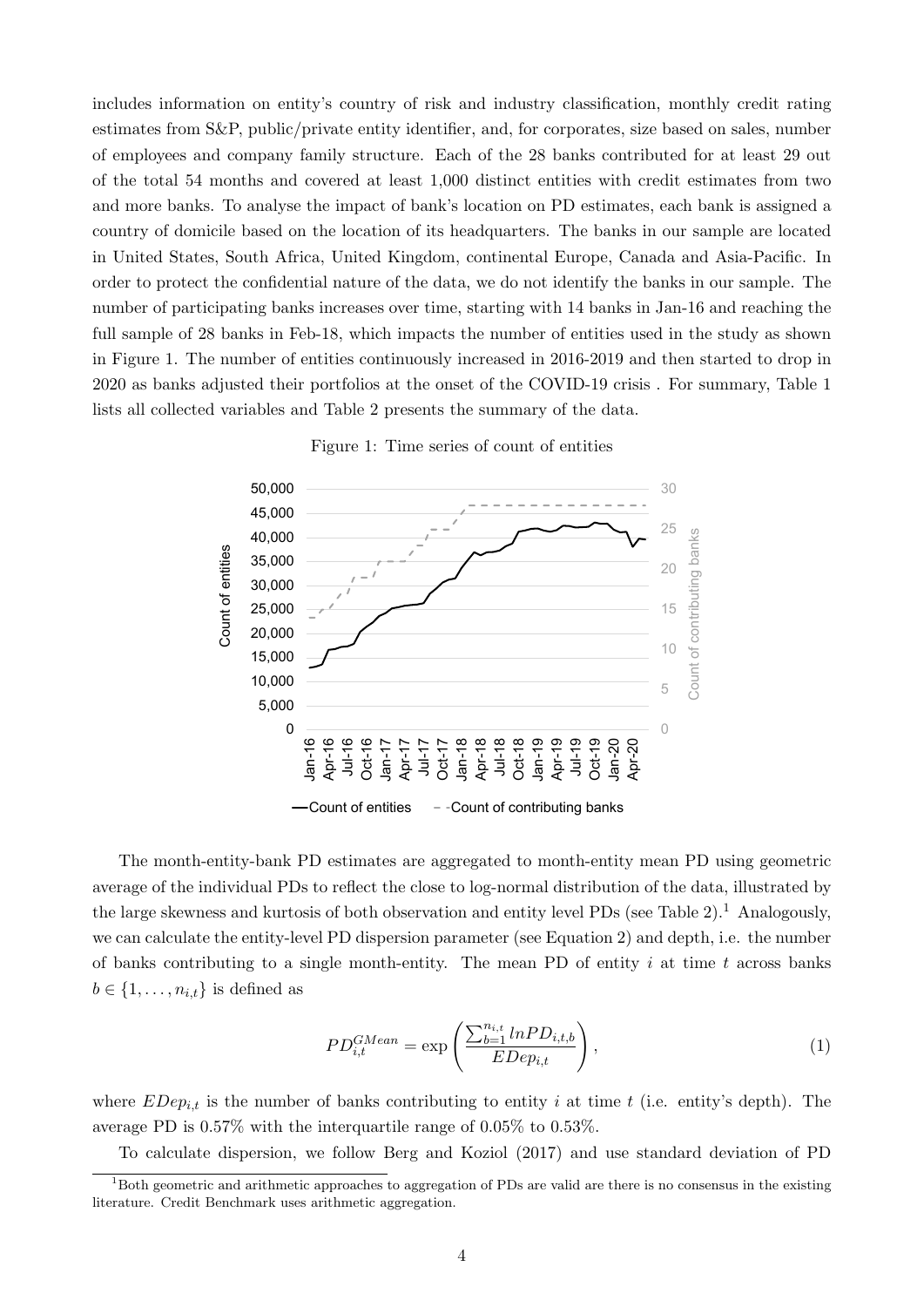includes information on entity's country of risk and industry classification, monthly credit rating estimates from S&P, public/private entity identifier, and, for corporates, size based on sales, number of employees and company family structure. Each of the 28 banks contributed for at least 29 out of the total 54 months and covered at least 1,000 distinct entities with credit estimates from two and more banks. To analyse the impact of bank's location on PD estimates, each bank is assigned a country of domicile based on the location of its headquarters. The banks in our sample are located in United States, South Africa, United Kingdom, continental Europe, Canada and Asia-Pacific. In order to protect the confidential nature of the data, we do not identify the banks in our sample. The number of participating banks increases over time, starting with 14 banks in Jan-16 and reaching the full sample of 28 banks in Feb-18, which impacts the number of entities used in the study as shown in Figure 1. The number of entities continuously increased in 2016-2019 and then started to drop in 2020 as banks adjusted their portfolios at the onset of the COVID-19 crisis . For summary, Table 1 lists all collected variables and Table 2 presents the summary of the data.



Figure 1: Time series of count of entities

The month-entity-bank PD estimates are aggregated to month-entity mean PD using geometric average of the individual PDs to reflect the close to log-normal distribution of the data, illustrated by the large skewness and kurtosis of both observation and entity level PDs (see Table 2).<sup>1</sup> Analogously, we can calculate the entity-level PD dispersion parameter (see Equation 2) and depth, i.e. the number of banks contributing to a single month-entity. The mean PD of entity  $i$  at time  $t$  across banks  $b \in \{1, \ldots, n_{i,t}\}\$ is defined as

$$
PD_{i,t}^{GMean} = \exp\left(\frac{\sum_{b=1}^{n_{i,t}} ln PD_{i,t,b}}{EDep_{i,t}}\right),\tag{1}
$$

where  $EDep_{i,t}$  is the number of banks contributing to entity i at time t (i.e. entity's depth). The average PD is 0.57% with the interquartile range of 0.05% to 0.53%.

To calculate dispersion, we follow Berg and Koziol (2017) and use standard deviation of PD

 $1<sup>1</sup>$ Both geometric and arithmetic approaches to aggregation of PDs are valid are there is no consensus in the existing literature. Credit Benchmark uses arithmetic aggregation.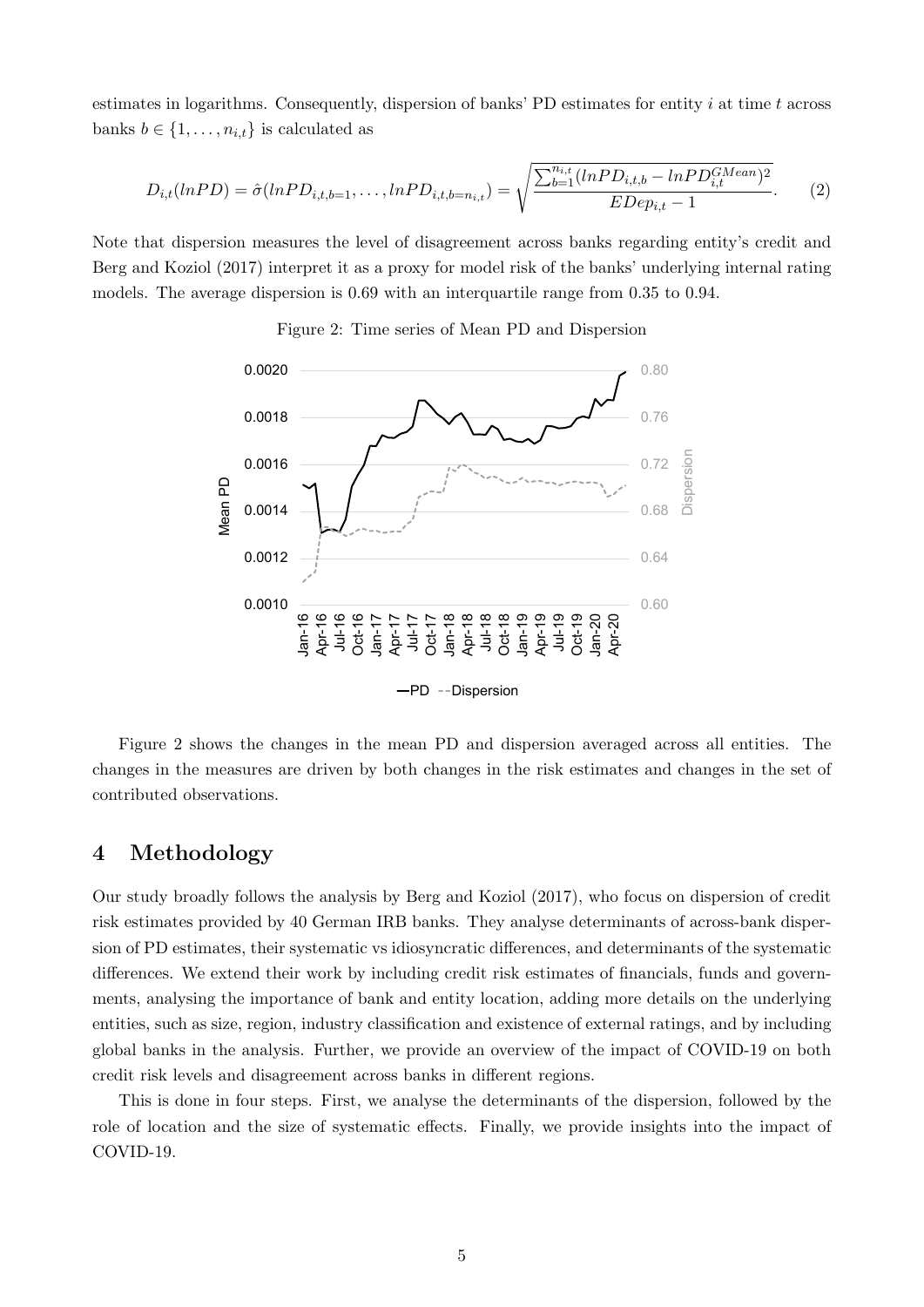estimates in logarithms. Consequently, dispersion of banks' PD estimates for entity  $i$  at time  $t$  across banks  $b \in \{1, \ldots, n_{i,t}\}\$ is calculated as

$$
D_{i,t}(lnPD) = \hat{\sigma}(lnPD_{i,t,b=1}, \dots, lnPD_{i,t,b=n_{i,t}}) = \sqrt{\frac{\sum_{b=1}^{n_{i,t}}(lnPD_{i,t,b} - lnPD_{i,t}^{GMean})^2}{EDep_{i,t} - 1}}.
$$
 (2)

Note that dispersion measures the level of disagreement across banks regarding entity's credit and Berg and Koziol (2017) interpret it as a proxy for model risk of the banks' underlying internal rating models. The average dispersion is 0.69 with an interquartile range from 0.35 to 0.94.



Figure 2: Time series of Mean PD and Dispersion

Figure 2 shows the changes in the mean PD and dispersion averaged across all entities. The changes in the measures are driven by both changes in the risk estimates and changes in the set of contributed observations.

# 4 Methodology

Our study broadly follows the analysis by Berg and Koziol (2017), who focus on dispersion of credit risk estimates provided by 40 German IRB banks. They analyse determinants of across-bank dispersion of PD estimates, their systematic vs idiosyncratic differences, and determinants of the systematic differences. We extend their work by including credit risk estimates of financials, funds and governments, analysing the importance of bank and entity location, adding more details on the underlying entities, such as size, region, industry classification and existence of external ratings, and by including global banks in the analysis. Further, we provide an overview of the impact of COVID-19 on both credit risk levels and disagreement across banks in different regions.

This is done in four steps. First, we analyse the determinants of the dispersion, followed by the role of location and the size of systematic effects. Finally, we provide insights into the impact of COVID-19.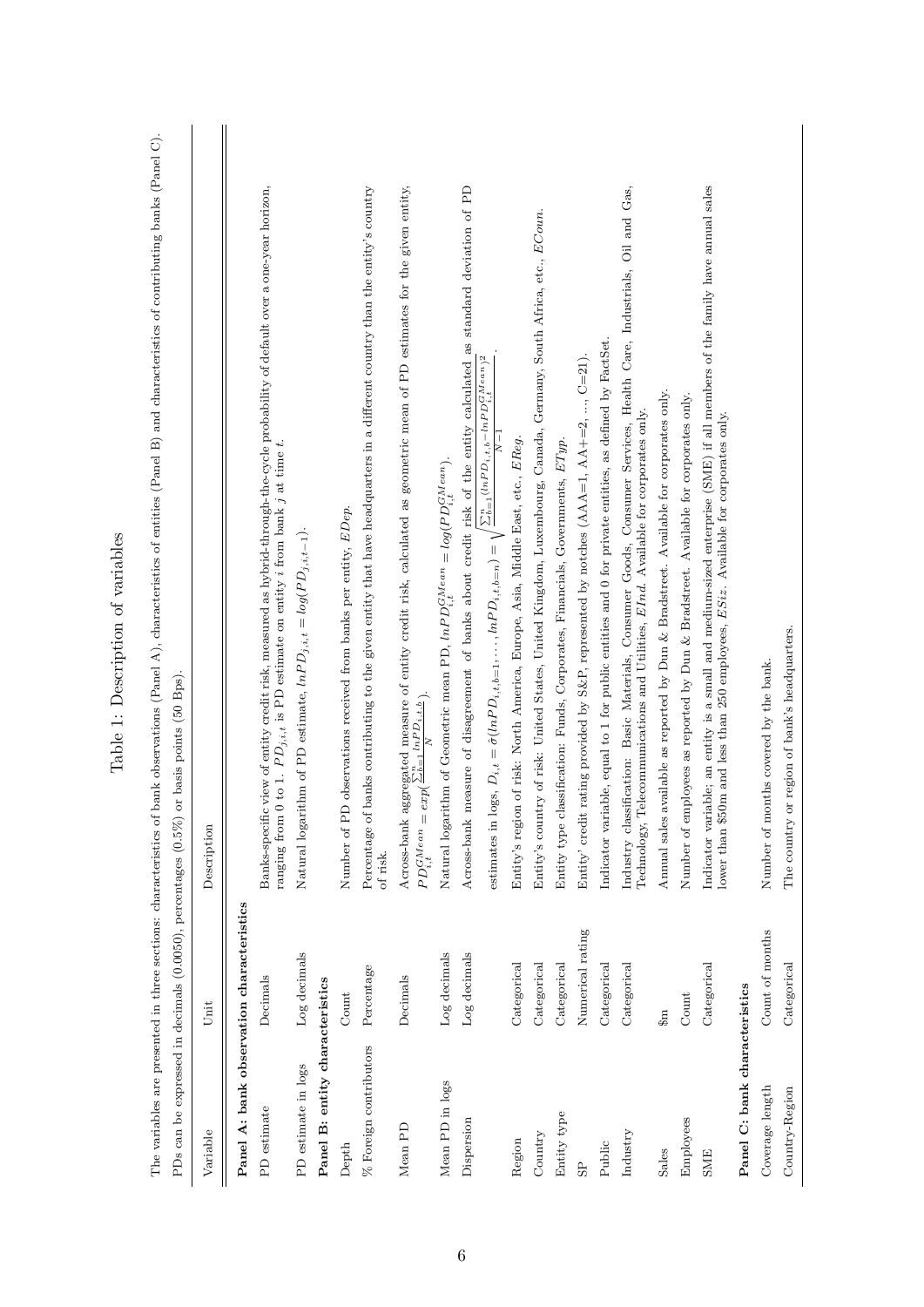| The variables are presented in three sections: characteristics of bank observations (Panel A), characteristics of entities (Panel B) and characteristics of contributing banks (Panel C). |                  | PDs can be expressed in decimals $(0.0050)$ , percentages $(0.5\%)$ or basis points $(50 \text{ Bps})$                                                                                                                                                                              |
|-------------------------------------------------------------------------------------------------------------------------------------------------------------------------------------------|------------------|-------------------------------------------------------------------------------------------------------------------------------------------------------------------------------------------------------------------------------------------------------------------------------------|
| Variable                                                                                                                                                                                  | Unit             | Description                                                                                                                                                                                                                                                                         |
| Panel A: bank observation characteristics                                                                                                                                                 |                  |                                                                                                                                                                                                                                                                                     |
| PD estimate                                                                                                                                                                               | Decimals         | Banks-specific view of entity credit risk, measured as hybrid-through-the-cycle probability of default over a one-year horizon,<br>ranging from 0 to 1. $PD_{j,i,t}$ is PD estimate on entity <i>i</i> from bank <i>j</i> at time <i>t</i> .                                        |
| PD estimate in logs                                                                                                                                                                       | Log decimals     | Natural logarithm of PD estimate, $lnPD_{j,i,t} = log(PD_{j,i,t-1}).$                                                                                                                                                                                                               |
| Panel B: entity characteristics                                                                                                                                                           |                  |                                                                                                                                                                                                                                                                                     |
| Depth                                                                                                                                                                                     | Count            | PD observations received from banks per entity, EDep.<br>Number of                                                                                                                                                                                                                  |
| $\%$ Foreign contributors                                                                                                                                                                 | Percentage       | of banks contributing to the given entity that have headquarters in a different country than the entity's country<br>Percentage<br>of risk.                                                                                                                                         |
| Mean PD                                                                                                                                                                                   | Decimals         | Across-bank aggregated measure of entity credit risk, calculated as geometric mean of PD estimates for the given entity, $PD_{i,t}^{GMean} = exp(\frac{\sum_{b=1}^{B} ln P_{i,t,b}}{N}).$                                                                                           |
| Mean PD in logs                                                                                                                                                                           | Log decimals     | Natural logarithm of Geometric mean PD, $lnPD_{i,t}^{GMean} = log(PD_{i,t}^{GMean})$                                                                                                                                                                                                |
| Dispersion                                                                                                                                                                                | Log decimals     | Across-bank measure of disagreement of banks about credit risk of the entity calculated as standard deviation of PD<br>estimates in logs, $D_{i,t} = \hat{\sigma}(lnPD_{i,t,b=1}, \ldots, lnPD_{i,t,b=n}) = \sqrt{\frac{\sum_{b=1}^{n}(lnPD_{i,t,b}-lnPD_{i,t,b}^{GMean})^2}{N-1}}$ |
| Region                                                                                                                                                                                    | Categorical      | Entity's region of risk: North America, Europe, Asia, Middle East, etc., EReg.                                                                                                                                                                                                      |
| Country                                                                                                                                                                                   | Categorical      | Entity's country of risk: United States, United Kingdom, Luxembourg, Canada, Germany, South Africa, etc., ECoun.                                                                                                                                                                    |
| Entity type                                                                                                                                                                               | Categorical      | Entity type classification: Funds, Corporates, Financials, Governments, ETyp.                                                                                                                                                                                                       |
| $_{\rm SP}$                                                                                                                                                                               | Numerical rating | Entity' credit rating provided by S&P, represented by notches $(AAA=1, AA+=2, , C=21)$ .                                                                                                                                                                                            |
| Public                                                                                                                                                                                    | Categorical      | Indicator variable, equal to 1 for public entities and 0 for private entities, as defined by FactSet.                                                                                                                                                                               |
| Industry                                                                                                                                                                                  | Categorical      | Industry classification: Basic Materials, Consumer Goods, Consumer Services, Health Care, Industrials, Oil and Gas,<br>Telecommunications and Utilities, EInd. Available for corporates only.<br>Technology,                                                                        |
| Sales                                                                                                                                                                                     | $\mathbb{R}^3$   | Annual sales available as reported by Dun & Bradstreet. Available for corporates only.                                                                                                                                                                                              |
| Employees                                                                                                                                                                                 | Count            | Number of employees as reported by Dun & Bradstreet. Available for corporates only.                                                                                                                                                                                                 |
| <b>SME</b>                                                                                                                                                                                | Categorical      | Indicator variable; an entity is a small and medium-sized enterprise (SME) if all members of the family have annual sales<br>lower than \$50m and less than 250 employees, $ESiz$ . Available for corporates only.                                                                  |
| Panel C: bank characteristics                                                                                                                                                             |                  |                                                                                                                                                                                                                                                                                     |
| Coverage length                                                                                                                                                                           | Count of months  | months covered by the bank.<br>Number of                                                                                                                                                                                                                                            |
| Country-Region                                                                                                                                                                            | Categorical      | The country or region of bank's headquarters.                                                                                                                                                                                                                                       |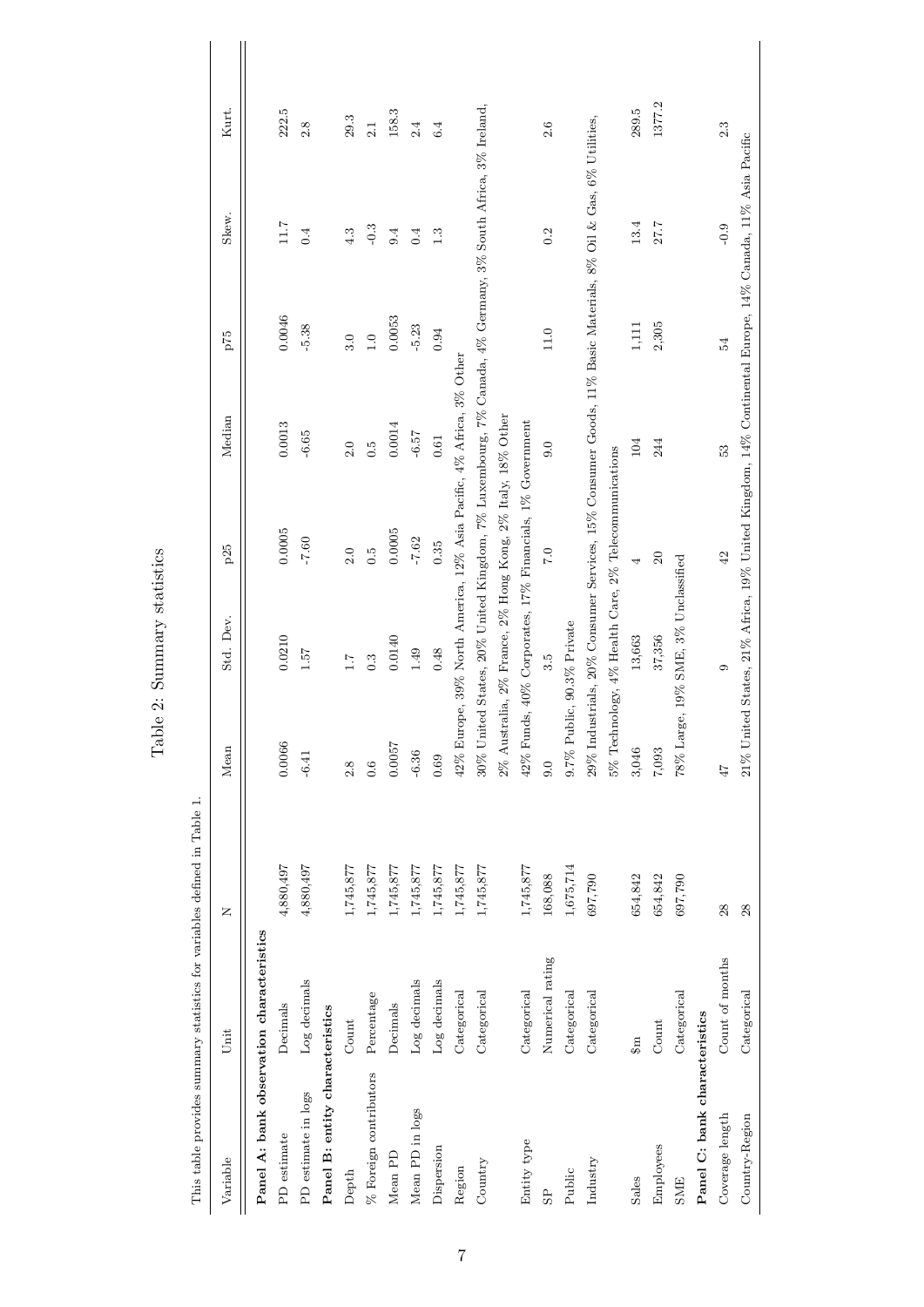|                                           |                        | This table provides summary statistics for variables defined in Table 1. |                            |                                                               |            |                                                                                                              |                  |        |        |  |
|-------------------------------------------|------------------------|--------------------------------------------------------------------------|----------------------------|---------------------------------------------------------------|------------|--------------------------------------------------------------------------------------------------------------|------------------|--------|--------|--|
| Variable                                  | Unit                   | Z                                                                        | Mean                       | Std. Dev.                                                     | $\rm p25$  | Median                                                                                                       | $575$            | Skew.  | Kurt.  |  |
| Panel A: bank observation characteristics |                        |                                                                          |                            |                                                               |            |                                                                                                              |                  |        |        |  |
| PD estimate                               | Decimals               | 4,880,497                                                                | 0.0066                     | 0.0210                                                        | 0.0005     | 0.0013                                                                                                       | 0.0046           | 7.11   | 222.5  |  |
| PD estimate in logs                       | Log decimals           | 4,880,497                                                                | $-6.41$                    | 1.57                                                          | $-7.60$    | $-6.65$                                                                                                      | $-5.38$          | 0.4    | 2.8    |  |
| Panel B: entity characteristics           |                        |                                                                          |                            |                                                               |            |                                                                                                              |                  |        |        |  |
| Depth                                     | Count                  | 1,745,877                                                                | 2.8                        | $\overline{1.7}$                                              | 2.0        | 2.0                                                                                                          | 3.0              | 4.3    | 29.3   |  |
| % Foreign contributors                    | Percentage             | 1,745,877                                                                | 0.6                        | $0.\overline{3}$                                              | $\ddot{c}$ | $\ddot{0}$ .                                                                                                 | $\overline{1.0}$ | $-0.3$ | 2.1    |  |
| Mean PD                                   | Decimals               | 1,745,877                                                                | 0.0057                     | 0.0140                                                        | 0.0005     | $0.0014\,$                                                                                                   | 0.0053           | 9.4    | 158.3  |  |
| Mean PD in logs                           | Log decimals           | 1,745,877                                                                | $-6.36$                    | 1.49                                                          | $-7.62$    | $-6.57$                                                                                                      | $-5.23$          | 0.4    | 2.4    |  |
| Dispersion                                | Log decimals           | 1,745,877                                                                | 0.69                       | 0.48                                                          | 0.35       | $\!0.61\!$                                                                                                   | 0.94             | 1.3    | 6.4    |  |
| Region                                    | Categorical            | 1,745,877                                                                |                            |                                                               |            | 42% Europe, 39% North America, 12% Asia Pacific, 4% Africa, 3% Other                                         |                  |        |        |  |
| Country                                   | Categorical            | 1,745,877                                                                |                            |                                                               |            | 30% United States, 20% United Kingdom, 7% Luxembourg, 7% Canada, 4% Germany, 3% South Africa, 3% Ireland.    |                  |        |        |  |
|                                           |                        |                                                                          |                            | $2\%$ Australia, 2% France, 2% Hong Kong, 2% Italy, 18% Other |            |                                                                                                              |                  |        |        |  |
| Entity type                               | Categorical            | 1,745,877                                                                |                            | 42% Funds, 40% Corporates, 17% Financials, 1% Government      |            |                                                                                                              |                  |        |        |  |
| 9 <sup>o</sup>                            | Numerical rating       | 168,088                                                                  | 0.6                        | 3.5                                                           | 7.0        | 0.0                                                                                                          | $11.0\,$         | 0.2    | 2.6    |  |
| Public                                    | Categorical            | 1,675,714                                                                | 9.7% Public, 90.3% Private |                                                               |            |                                                                                                              |                  |        |        |  |
| Industry                                  | Categorical            | 697,790                                                                  |                            |                                                               |            | 29% Industrials, 20% Consumer Services, 15% Consumer Goods, 11% Basic Materials, 8% Oil & Gas, 6% Utilities, |                  |        |        |  |
|                                           |                        |                                                                          |                            | 5% Technology, 4% Health Care, 2% Telecommunications          |            |                                                                                                              |                  |        |        |  |
| Sales                                     | $\mathfrak{g}_m$       | 654,842                                                                  | 3,046                      | 13,663                                                        | 4          | 104                                                                                                          | 1,111            | 13.4   | 289.5  |  |
| Employees                                 | $\operatorname{Count}$ | 654,842                                                                  | 7,093                      | 37,356                                                        | 20         | 244                                                                                                          | 2,305            | 27.7   | 1377.2 |  |
| <b>SME</b>                                | Categorical            | 697,790                                                                  |                            | 78% Large, 19% SME, 3% Unclassified                           |            |                                                                                                              |                  |        |        |  |
| Panel C: bank characteristics             |                        |                                                                          |                            |                                                               |            |                                                                                                              |                  |        |        |  |
| Coverage length                           | Count of months        | 28                                                                       | 47                         | $\circ$                                                       | 42         | 53                                                                                                           | 54               | $-0.9$ | 2.3    |  |
| Country-Region                            | Categorical            | 28                                                                       |                            |                                                               |            | 21% United States, 21% Africa, 19% United Kingdom, 14% Continental Europe, 14% Canada, 11% Asia Pacific      |                  |        |        |  |

Table 2: Summary statistics Table 2: Summary statistics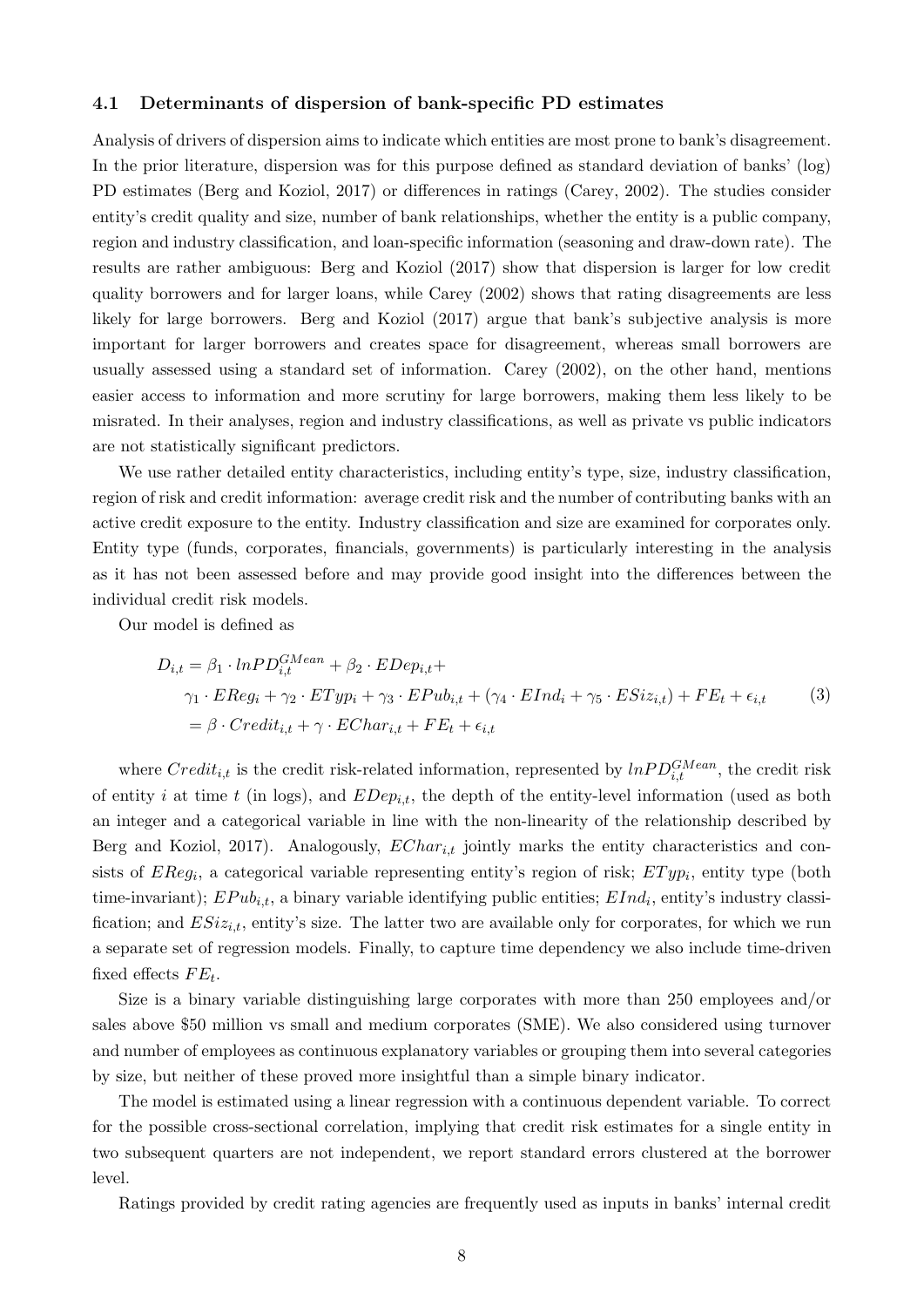#### 4.1 Determinants of dispersion of bank-specific PD estimates

Analysis of drivers of dispersion aims to indicate which entities are most prone to bank's disagreement. In the prior literature, dispersion was for this purpose defined as standard deviation of banks' (log) PD estimates (Berg and Koziol, 2017) or differences in ratings (Carey, 2002). The studies consider entity's credit quality and size, number of bank relationships, whether the entity is a public company, region and industry classification, and loan-specific information (seasoning and draw-down rate). The results are rather ambiguous: Berg and Koziol (2017) show that dispersion is larger for low credit quality borrowers and for larger loans, while Carey (2002) shows that rating disagreements are less likely for large borrowers. Berg and Koziol (2017) argue that bank's subjective analysis is more important for larger borrowers and creates space for disagreement, whereas small borrowers are usually assessed using a standard set of information. Carey (2002), on the other hand, mentions easier access to information and more scrutiny for large borrowers, making them less likely to be misrated. In their analyses, region and industry classifications, as well as private vs public indicators are not statistically significant predictors.

We use rather detailed entity characteristics, including entity's type, size, industry classification, region of risk and credit information: average credit risk and the number of contributing banks with an active credit exposure to the entity. Industry classification and size are examined for corporates only. Entity type (funds, corporates, financials, governments) is particularly interesting in the analysis as it has not been assessed before and may provide good insight into the differences between the individual credit risk models.

Our model is defined as

$$
D_{i,t} = \beta_1 \cdot lnPD_{i,t}^{GMean} + \beta_2 \cdot EDep_{i,t} +
$$
  
\n
$$
\gamma_1 \cdot EReg_i + \gamma_2 \cdot ETyp_i + \gamma_3 \cdot EPub_{i,t} + (\gamma_4 \cdot EInd_i + \gamma_5 \cdot ESiz_{i,t}) + FE_t + \epsilon_{i,t}
$$
  
\n
$$
= \beta \cdot Credit_{i,t} + \gamma \cdot EChar_{i,t} + FE_t + \epsilon_{i,t}
$$
\n(3)

where  $Credit_{i,t}$  is the credit risk-related information, represented by  $lnPD_{i,t}^{GMean}$ , the credit risk of entity i at time t (in logs), and  $EDep_{i,t}$ , the depth of the entity-level information (used as both an integer and a categorical variable in line with the non-linearity of the relationship described by Berg and Koziol, 2017). Analogously,  $EChar_{i,t}$  jointly marks the entity characteristics and consists of  $EReg_i$ , a categorical variable representing entity's region of risk;  $ETyp_i$ , entity type (both time-invariant);  $EPub_{i,t}$ , a binary variable identifying public entities;  $EInd_i$ , entity's industry classification; and  $ESiz_{i,t}$ , entity's size. The latter two are available only for corporates, for which we run a separate set of regression models. Finally, to capture time dependency we also include time-driven fixed effects  $FE_t$ .

Size is a binary variable distinguishing large corporates with more than 250 employees and/or sales above \$50 million vs small and medium corporates (SME). We also considered using turnover and number of employees as continuous explanatory variables or grouping them into several categories by size, but neither of these proved more insightful than a simple binary indicator.

The model is estimated using a linear regression with a continuous dependent variable. To correct for the possible cross-sectional correlation, implying that credit risk estimates for a single entity in two subsequent quarters are not independent, we report standard errors clustered at the borrower level.

Ratings provided by credit rating agencies are frequently used as inputs in banks' internal credit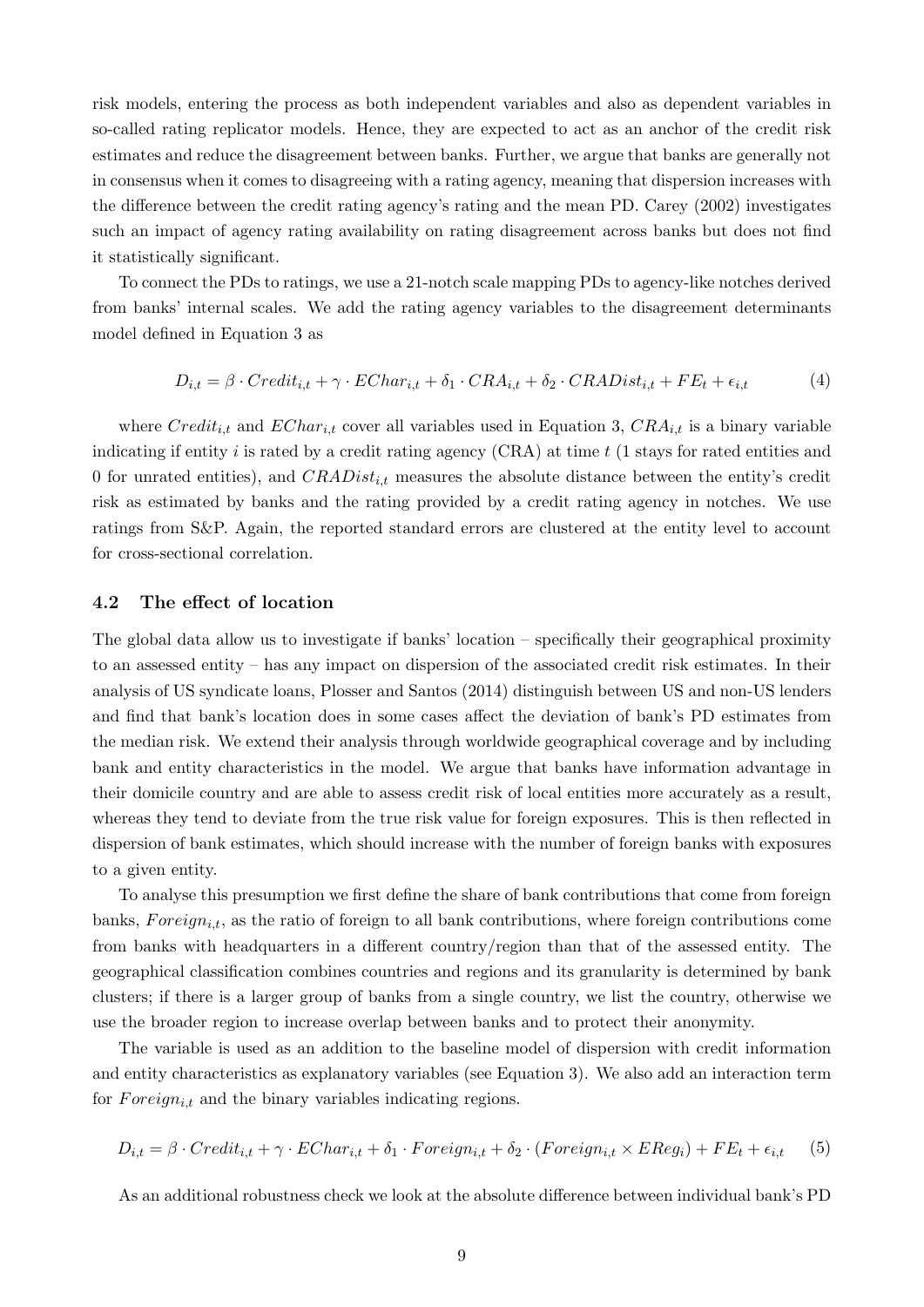risk models, entering the process as both independent variables and also as dependent variables in so-called rating replicator models. Hence, they are expected to act as an anchor of the credit risk estimates and reduce the disagreement between banks. Further, we argue that banks are generally not in consensus when it comes to disagreeing with a rating agency, meaning that dispersion increases with the difference between the credit rating agency's rating and the mean PD. Carey (2002) investigates such an impact of agency rating availability on rating disagreement across banks but does not find it statistically significant.

To connect the PDs to ratings, we use a 21-notch scale mapping PDs to agency-like notches derived from banks' internal scales. We add the rating agency variables to the disagreement determinants model defined in Equation 3 as

$$
D_{i,t} = \beta \cdot Credit_{i,t} + \gamma \cdot EChar_{i,t} + \delta_1 \cdot CRA_{i,t} + \delta_2 \cdot CRADist_{i,t} + FE_t + \epsilon_{i,t}
$$
(4)

where  $Credit_{i,t}$  and  $EChar_{i,t}$  cover all variables used in Equation 3,  $CRA_{i,t}$  is a binary variable indicating if entity i is rated by a credit rating agency  $(CRA)$  at time t (1 stays for rated entities and 0 for unrated entities), and  $CRADist_{i,t}$  measures the absolute distance between the entity's credit risk as estimated by banks and the rating provided by a credit rating agency in notches. We use ratings from S&P. Again, the reported standard errors are clustered at the entity level to account for cross-sectional correlation.

#### 4.2 The effect of location

The global data allow us to investigate if banks' location – specifically their geographical proximity to an assessed entity – has any impact on dispersion of the associated credit risk estimates. In their analysis of US syndicate loans, Plosser and Santos (2014) distinguish between US and non-US lenders and find that bank's location does in some cases affect the deviation of bank's PD estimates from the median risk. We extend their analysis through worldwide geographical coverage and by including bank and entity characteristics in the model. We argue that banks have information advantage in their domicile country and are able to assess credit risk of local entities more accurately as a result, whereas they tend to deviate from the true risk value for foreign exposures. This is then reflected in dispersion of bank estimates, which should increase with the number of foreign banks with exposures to a given entity.

To analyse this presumption we first define the share of bank contributions that come from foreign banks,  $Foreign_{i,t}$ , as the ratio of foreign to all bank contributions, where foreign contributions come from banks with headquarters in a different country/region than that of the assessed entity. The geographical classification combines countries and regions and its granularity is determined by bank clusters; if there is a larger group of banks from a single country, we list the country, otherwise we use the broader region to increase overlap between banks and to protect their anonymity.

The variable is used as an addition to the baseline model of dispersion with credit information and entity characteristics as explanatory variables (see Equation 3). We also add an interaction term for  $Foreign_{i,t}$  and the binary variables indicating regions.

$$
D_{i,t} = \beta \cdot Credit_{i,t} + \gamma \cdot EChar_{i,t} + \delta_1 \cdot Foreign_{i,t} + \delta_2 \cdot (Foreign_{i,t} \times EReg_i) + FE_t + \epsilon_{i,t} \tag{5}
$$

As an additional robustness check we look at the absolute difference between individual bank's PD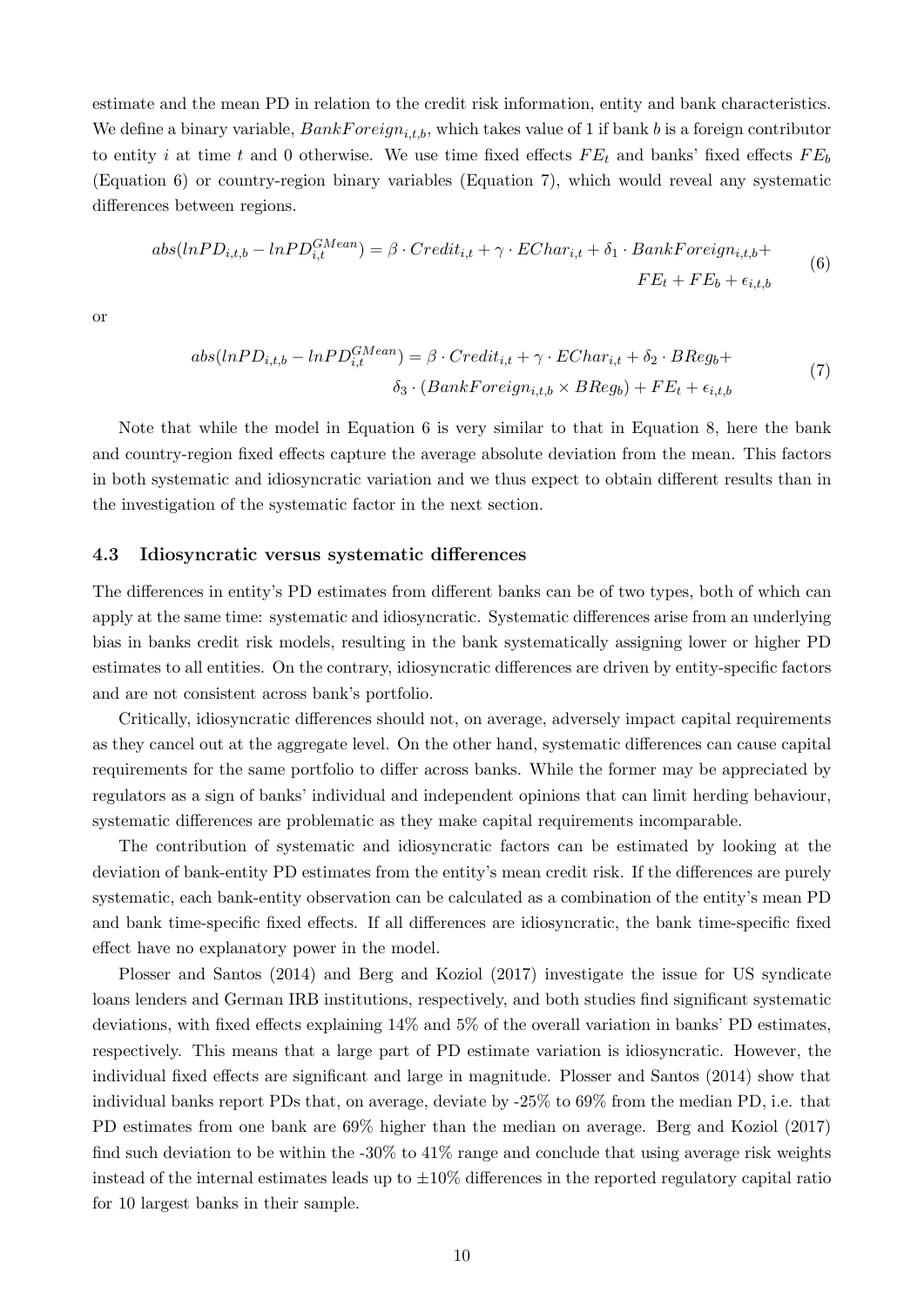estimate and the mean PD in relation to the credit risk information, entity and bank characteristics. We define a binary variable,  $BankForeign_{it,b}$ , which takes value of 1 if bank b is a foreign contributor to entity i at time t and 0 otherwise. We use time fixed effects  $FE_t$  and banks' fixed effects  $FE_b$ (Equation 6) or country-region binary variables (Equation 7), which would reveal any systematic differences between regions.

$$
abs(lnPD_{i,t,b} - lnPD_{i,t}^{GMean}) = \beta \cdot Credit_{i,t} + \gamma \cdot EChar_{i,t} + \delta_1 \cdot BankForeign_{i,t,b} + \nF E_t + F E_b + \epsilon_{i,t,b}
$$
\n
$$
(6)
$$

or

$$
abs(lnPD_{i,t,b} - lnPD_{i,t}^{GMean}) = \beta \cdot Credit_{i,t} + \gamma \cdot EChar_{i,t} + \delta_2 \cdot BReg_b + \n\delta_3 \cdot (BankForeign_{i,t,b} \times BReg_b) + FE_t + \epsilon_{i,t,b}
$$
\n(7)

Note that while the model in Equation 6 is very similar to that in Equation 8, here the bank and country-region fixed effects capture the average absolute deviation from the mean. This factors in both systematic and idiosyncratic variation and we thus expect to obtain different results than in the investigation of the systematic factor in the next section.

#### 4.3 Idiosyncratic versus systematic differences

The differences in entity's PD estimates from different banks can be of two types, both of which can apply at the same time: systematic and idiosyncratic. Systematic differences arise from an underlying bias in banks credit risk models, resulting in the bank systematically assigning lower or higher PD estimates to all entities. On the contrary, idiosyncratic differences are driven by entity-specific factors and are not consistent across bank's portfolio.

Critically, idiosyncratic differences should not, on average, adversely impact capital requirements as they cancel out at the aggregate level. On the other hand, systematic differences can cause capital requirements for the same portfolio to differ across banks. While the former may be appreciated by regulators as a sign of banks' individual and independent opinions that can limit herding behaviour, systematic differences are problematic as they make capital requirements incomparable.

The contribution of systematic and idiosyncratic factors can be estimated by looking at the deviation of bank-entity PD estimates from the entity's mean credit risk. If the differences are purely systematic, each bank-entity observation can be calculated as a combination of the entity's mean PD and bank time-specific fixed effects. If all differences are idiosyncratic, the bank time-specific fixed effect have no explanatory power in the model.

Plosser and Santos (2014) and Berg and Koziol (2017) investigate the issue for US syndicate loans lenders and German IRB institutions, respectively, and both studies find significant systematic deviations, with fixed effects explaining 14% and 5% of the overall variation in banks' PD estimates, respectively. This means that a large part of PD estimate variation is idiosyncratic. However, the individual fixed effects are significant and large in magnitude. Plosser and Santos (2014) show that individual banks report PDs that, on average, deviate by -25% to 69% from the median PD, i.e. that PD estimates from one bank are 69% higher than the median on average. Berg and Koziol (2017) find such deviation to be within the  $-30\%$  to  $41\%$  range and conclude that using average risk weights instead of the internal estimates leads up to  $\pm 10\%$  differences in the reported regulatory capital ratio for 10 largest banks in their sample.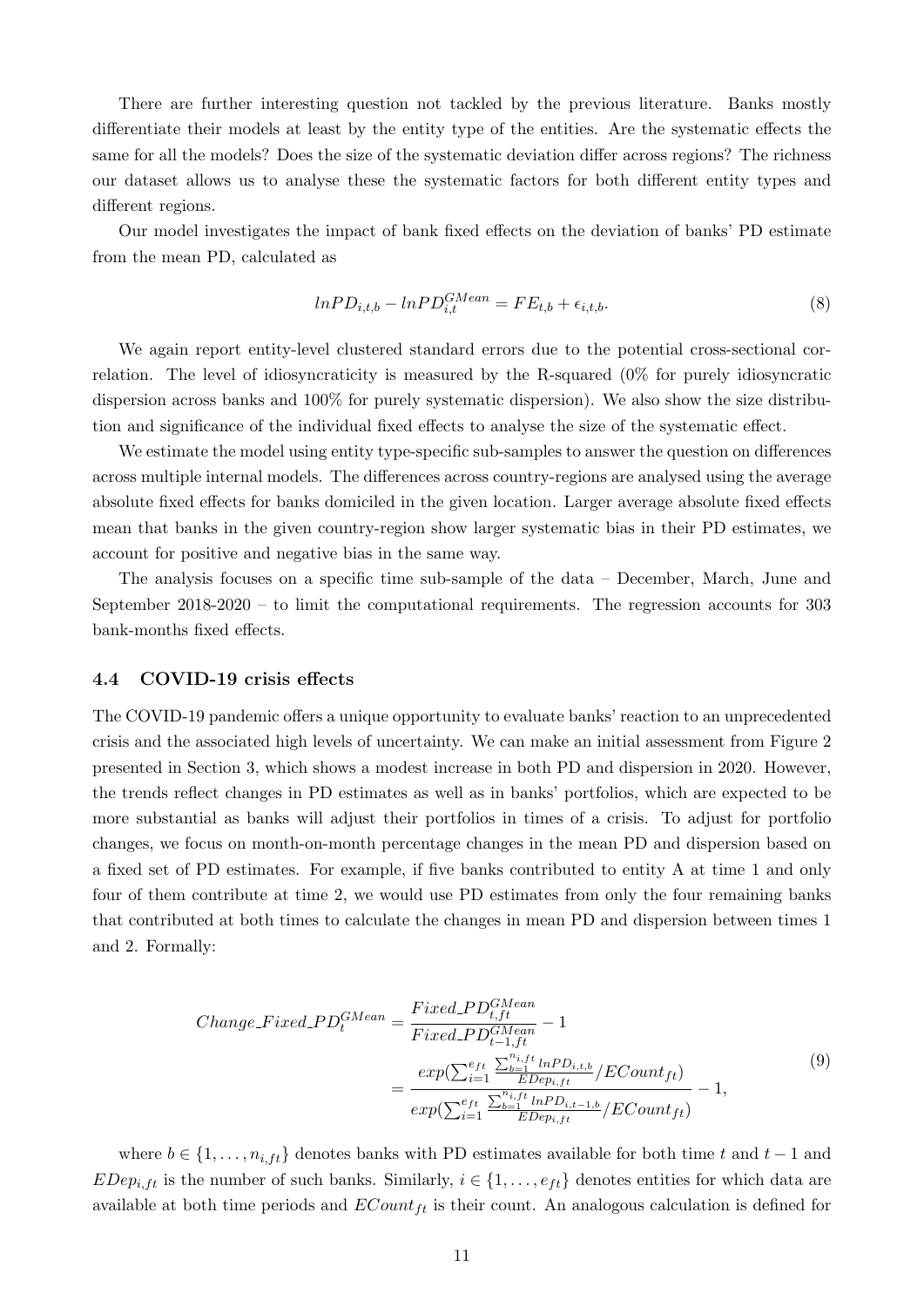There are further interesting question not tackled by the previous literature. Banks mostly differentiate their models at least by the entity type of the entities. Are the systematic effects the same for all the models? Does the size of the systematic deviation differ across regions? The richness our dataset allows us to analyse these the systematic factors for both different entity types and different regions.

Our model investigates the impact of bank fixed effects on the deviation of banks' PD estimate from the mean PD, calculated as

$$
ln PD_{i,t,b} - ln PD_{i,t}^{GMean} = FE_{t,b} + \epsilon_{i,t,b}.
$$
\n
$$
(8)
$$

We again report entity-level clustered standard errors due to the potential cross-sectional correlation. The level of idiosyncraticity is measured by the R-squared (0% for purely idiosyncratic dispersion across banks and 100% for purely systematic dispersion). We also show the size distribution and significance of the individual fixed effects to analyse the size of the systematic effect.

We estimate the model using entity type-specific sub-samples to answer the question on differences across multiple internal models. The differences across country-regions are analysed using the average absolute fixed effects for banks domiciled in the given location. Larger average absolute fixed effects mean that banks in the given country-region show larger systematic bias in their PD estimates, we account for positive and negative bias in the same way.

The analysis focuses on a specific time sub-sample of the data – December, March, June and September 2018-2020 – to limit the computational requirements. The regression accounts for 303 bank-months fixed effects.

#### 4.4 COVID-19 crisis effects

The COVID-19 pandemic offers a unique opportunity to evaluate banks' reaction to an unprecedented crisis and the associated high levels of uncertainty. We can make an initial assessment from Figure 2 presented in Section 3, which shows a modest increase in both PD and dispersion in 2020. However, the trends reflect changes in PD estimates as well as in banks' portfolios, which are expected to be more substantial as banks will adjust their portfolios in times of a crisis. To adjust for portfolio changes, we focus on month-on-month percentage changes in the mean PD and dispersion based on a fixed set of PD estimates. For example, if five banks contributed to entity A at time 1 and only four of them contribute at time 2, we would use PD estimates from only the four remaining banks that contributed at both times to calculate the changes in mean PD and dispersion between times 1 and 2. Formally:

$$
Change\_Fixed\_PD_t^{GMean} = \frac{Fixed\_PD_{t,ft}^{GMean}}{Fixed\_PD_{t-1,ft}^{GMean}} - 1
$$

$$
= \frac{exp(\sum_{i=1}^{e_{ft}} \frac{\sum_{b=1}^{n_{i,ft}} ln PD_{i,t,b}}{EDep_{i,ft}} / ECount_{ft})}{exp(\sum_{i=1}^{e_{ft}} \frac{\sum_{b=1}^{n_{i,ft}} ln PD_{i,t-1,b}}{EDep_{i,ft}} / ECount_{ft})} - 1,
$$

$$
(9)
$$

where  $b \in \{1, \ldots, n_{i, ft}\}\$  denotes banks with PD estimates available for both time t and  $t - 1$  and EDep<sub>i,ft</sub> is the number of such banks. Similarly,  $i \in \{1, \ldots, e_{ft}\}\$  denotes entities for which data are available at both time periods and  $ECount_{ft}$  is their count. An analogous calculation is defined for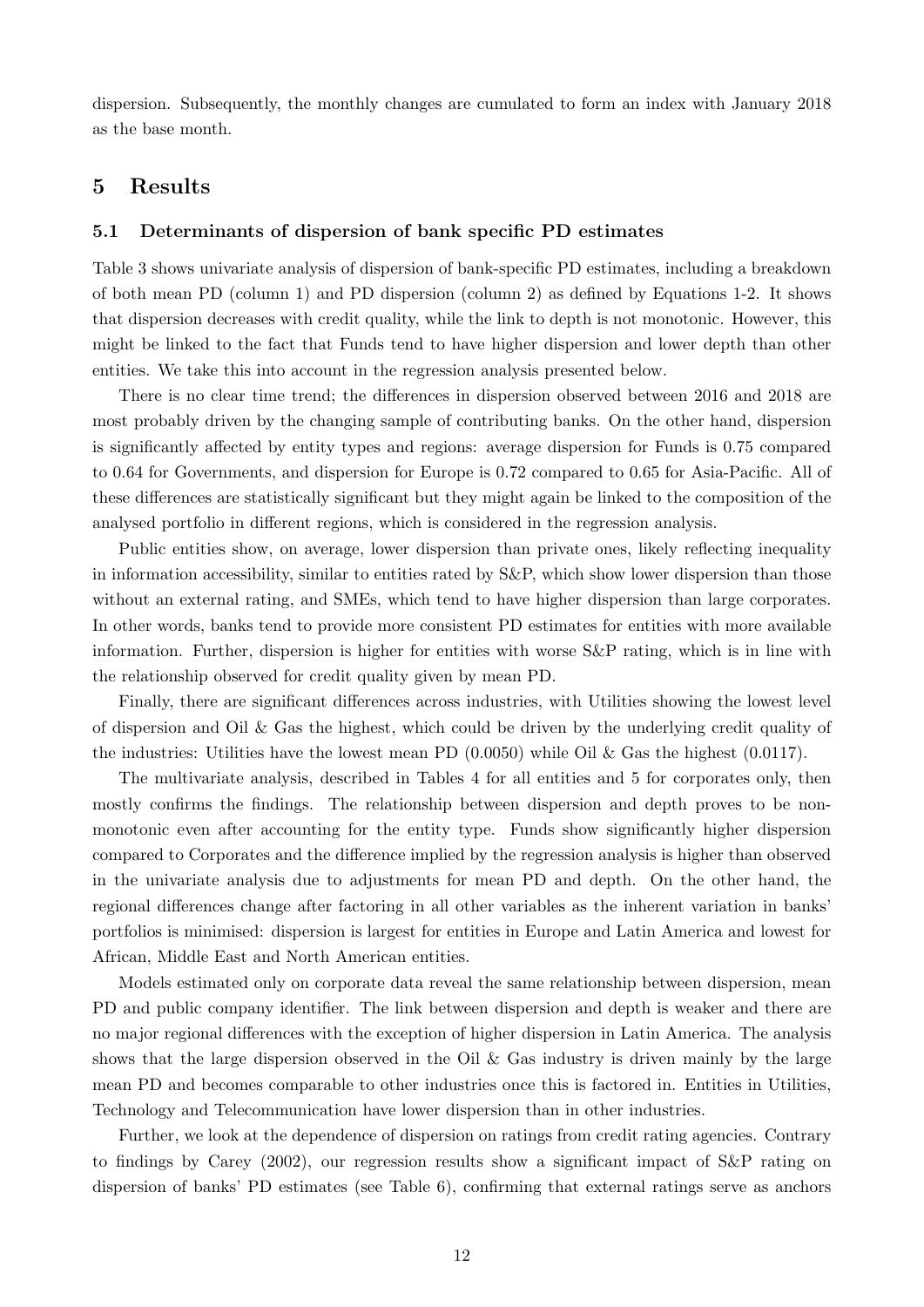dispersion. Subsequently, the monthly changes are cumulated to form an index with January 2018 as the base month.

# 5 Results

#### 5.1 Determinants of dispersion of bank specific PD estimates

Table 3 shows univariate analysis of dispersion of bank-specific PD estimates, including a breakdown of both mean PD (column 1) and PD dispersion (column 2) as defined by Equations 1-2. It shows that dispersion decreases with credit quality, while the link to depth is not monotonic. However, this might be linked to the fact that Funds tend to have higher dispersion and lower depth than other entities. We take this into account in the regression analysis presented below.

There is no clear time trend; the differences in dispersion observed between 2016 and 2018 are most probably driven by the changing sample of contributing banks. On the other hand, dispersion is significantly affected by entity types and regions: average dispersion for Funds is 0.75 compared to 0.64 for Governments, and dispersion for Europe is 0.72 compared to 0.65 for Asia-Pacific. All of these differences are statistically significant but they might again be linked to the composition of the analysed portfolio in different regions, which is considered in the regression analysis.

Public entities show, on average, lower dispersion than private ones, likely reflecting inequality in information accessibility, similar to entities rated by S&P, which show lower dispersion than those without an external rating, and SMEs, which tend to have higher dispersion than large corporates. In other words, banks tend to provide more consistent PD estimates for entities with more available information. Further, dispersion is higher for entities with worse S&P rating, which is in line with the relationship observed for credit quality given by mean PD.

Finally, there are significant differences across industries, with Utilities showing the lowest level of dispersion and Oil  $\&$  Gas the highest, which could be driven by the underlying credit quality of the industries: Utilities have the lowest mean PD  $(0.0050)$  while Oil & Gas the highest  $(0.0117)$ .

The multivariate analysis, described in Tables 4 for all entities and 5 for corporates only, then mostly confirms the findings. The relationship between dispersion and depth proves to be nonmonotonic even after accounting for the entity type. Funds show significantly higher dispersion compared to Corporates and the difference implied by the regression analysis is higher than observed in the univariate analysis due to adjustments for mean PD and depth. On the other hand, the regional differences change after factoring in all other variables as the inherent variation in banks' portfolios is minimised: dispersion is largest for entities in Europe and Latin America and lowest for African, Middle East and North American entities.

Models estimated only on corporate data reveal the same relationship between dispersion, mean PD and public company identifier. The link between dispersion and depth is weaker and there are no major regional differences with the exception of higher dispersion in Latin America. The analysis shows that the large dispersion observed in the Oil & Gas industry is driven mainly by the large mean PD and becomes comparable to other industries once this is factored in. Entities in Utilities, Technology and Telecommunication have lower dispersion than in other industries.

Further, we look at the dependence of dispersion on ratings from credit rating agencies. Contrary to findings by Carey (2002), our regression results show a significant impact of S&P rating on dispersion of banks' PD estimates (see Table 6), confirming that external ratings serve as anchors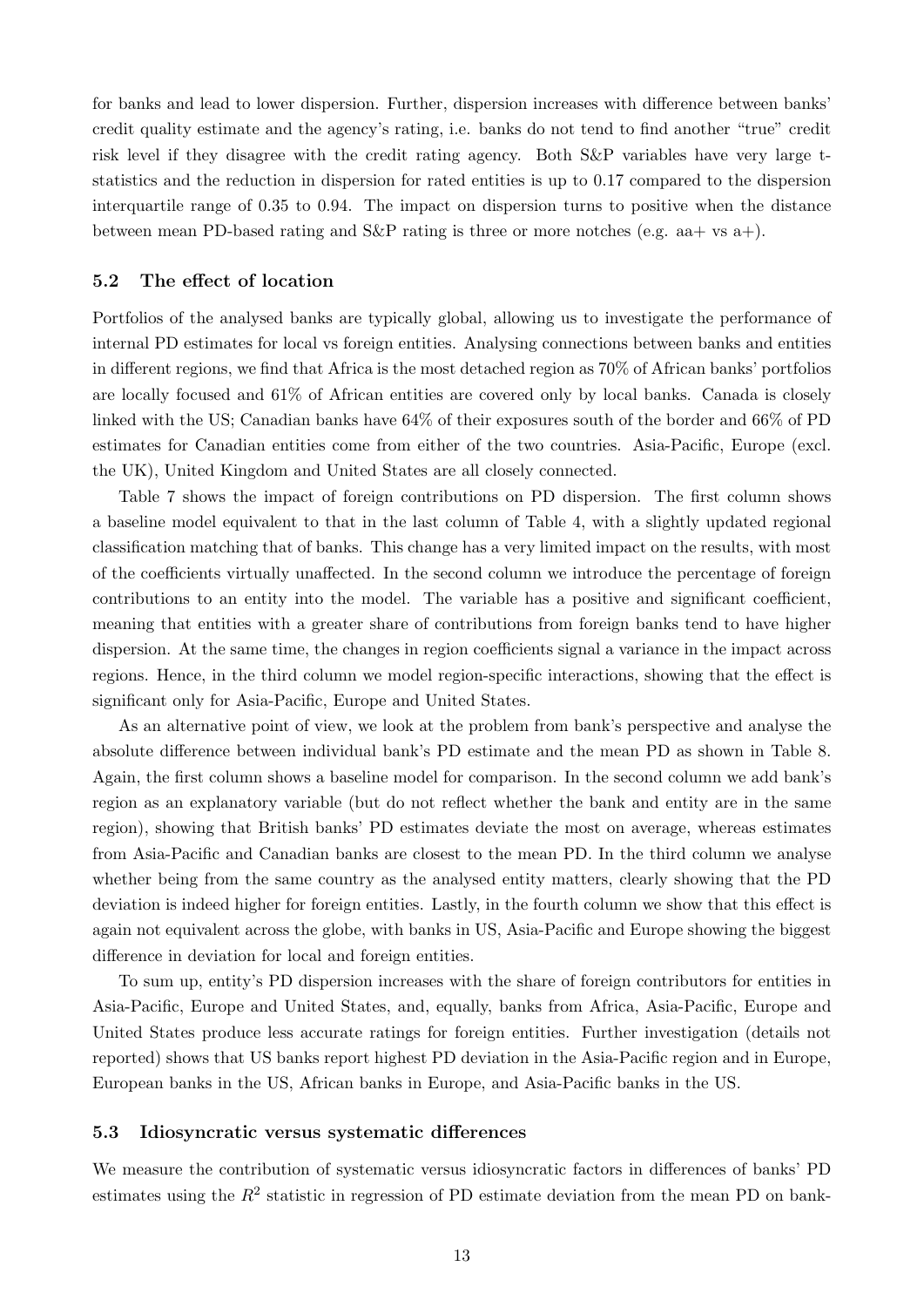for banks and lead to lower dispersion. Further, dispersion increases with difference between banks' credit quality estimate and the agency's rating, i.e. banks do not tend to find another "true" credit risk level if they disagree with the credit rating agency. Both S&P variables have very large tstatistics and the reduction in dispersion for rated entities is up to 0.17 compared to the dispersion interquartile range of 0.35 to 0.94. The impact on dispersion turns to positive when the distance between mean PD-based rating and  $S\&P$  rating is three or more notches (e.g. aa + vs a +).

#### 5.2 The effect of location

Portfolios of the analysed banks are typically global, allowing us to investigate the performance of internal PD estimates for local vs foreign entities. Analysing connections between banks and entities in different regions, we find that Africa is the most detached region as 70% of African banks' portfolios are locally focused and 61% of African entities are covered only by local banks. Canada is closely linked with the US; Canadian banks have 64% of their exposures south of the border and 66% of PD estimates for Canadian entities come from either of the two countries. Asia-Pacific, Europe (excl. the UK), United Kingdom and United States are all closely connected.

Table 7 shows the impact of foreign contributions on PD dispersion. The first column shows a baseline model equivalent to that in the last column of Table 4, with a slightly updated regional classification matching that of banks. This change has a very limited impact on the results, with most of the coefficients virtually unaffected. In the second column we introduce the percentage of foreign contributions to an entity into the model. The variable has a positive and significant coefficient, meaning that entities with a greater share of contributions from foreign banks tend to have higher dispersion. At the same time, the changes in region coefficients signal a variance in the impact across regions. Hence, in the third column we model region-specific interactions, showing that the effect is significant only for Asia-Pacific, Europe and United States.

As an alternative point of view, we look at the problem from bank's perspective and analyse the absolute difference between individual bank's PD estimate and the mean PD as shown in Table 8. Again, the first column shows a baseline model for comparison. In the second column we add bank's region as an explanatory variable (but do not reflect whether the bank and entity are in the same region), showing that British banks' PD estimates deviate the most on average, whereas estimates from Asia-Pacific and Canadian banks are closest to the mean PD. In the third column we analyse whether being from the same country as the analysed entity matters, clearly showing that the PD deviation is indeed higher for foreign entities. Lastly, in the fourth column we show that this effect is again not equivalent across the globe, with banks in US, Asia-Pacific and Europe showing the biggest difference in deviation for local and foreign entities.

To sum up, entity's PD dispersion increases with the share of foreign contributors for entities in Asia-Pacific, Europe and United States, and, equally, banks from Africa, Asia-Pacific, Europe and United States produce less accurate ratings for foreign entities. Further investigation (details not reported) shows that US banks report highest PD deviation in the Asia-Pacific region and in Europe, European banks in the US, African banks in Europe, and Asia-Pacific banks in the US.

#### 5.3 Idiosyncratic versus systematic differences

We measure the contribution of systematic versus idiosyncratic factors in differences of banks' PD estimates using the  $R^2$  statistic in regression of PD estimate deviation from the mean PD on bank-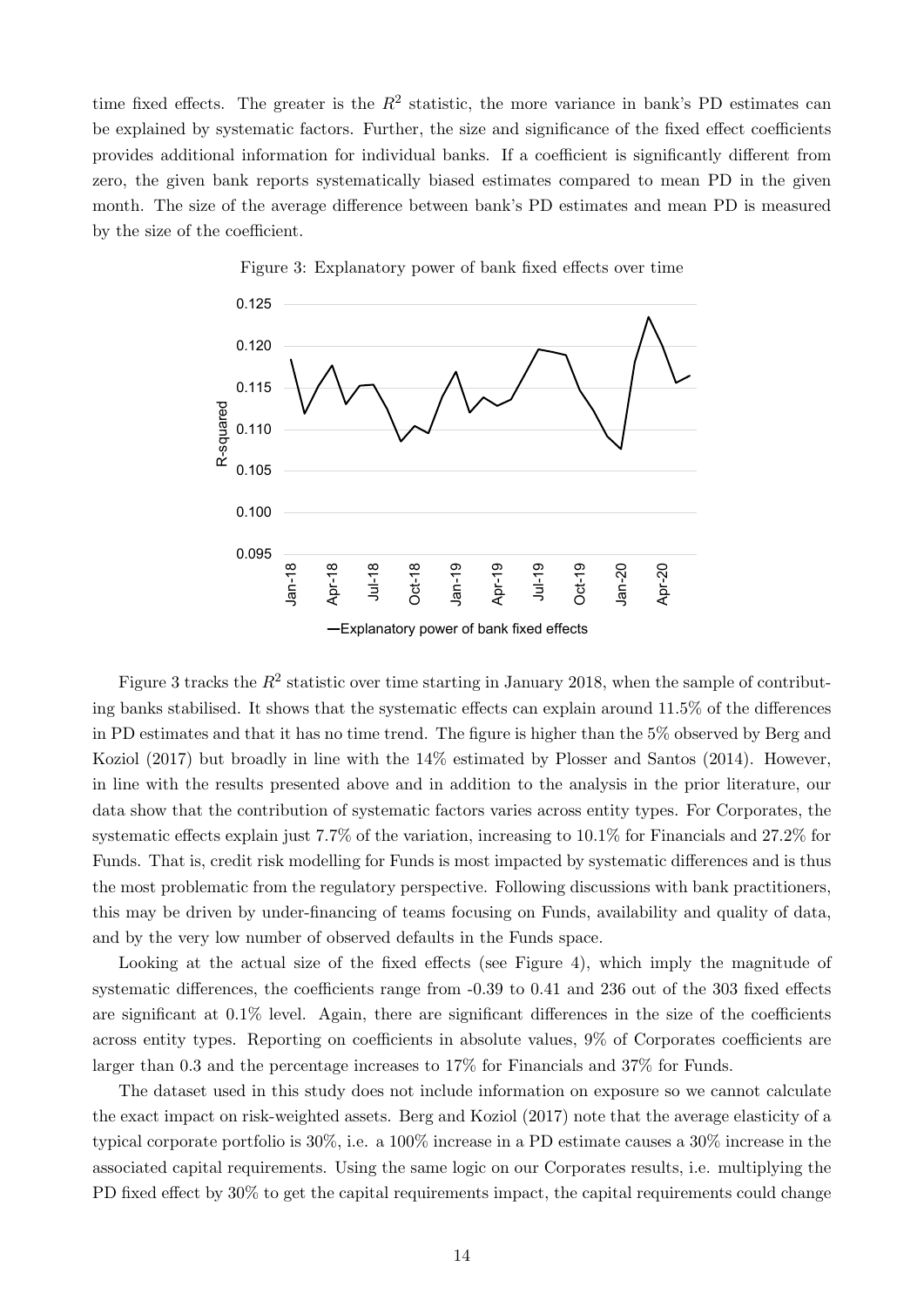time fixed effects. The greater is the  $R^2$  statistic, the more variance in bank's PD estimates can be explained by systematic factors. Further, the size and significance of the fixed effect coefficients provides additional information for individual banks. If a coefficient is significantly different from zero, the given bank reports systematically biased estimates compared to mean PD in the given month. The size of the average difference between bank's PD estimates and mean PD is measured by the size of the coefficient.



Figure 3: Explanatory power of bank fixed effects over time

Figure 3 tracks the  $R^2$  statistic over time starting in January 2018, when the sample of contributing banks stabilised. It shows that the systematic effects can explain around 11.5% of the differences in PD estimates and that it has no time trend. The figure is higher than the 5% observed by Berg and Koziol (2017) but broadly in line with the 14% estimated by Plosser and Santos (2014). However, in line with the results presented above and in addition to the analysis in the prior literature, our data show that the contribution of systematic factors varies across entity types. For Corporates, the systematic effects explain just 7.7% of the variation, increasing to 10.1% for Financials and 27.2% for Funds. That is, credit risk modelling for Funds is most impacted by systematic differences and is thus the most problematic from the regulatory perspective. Following discussions with bank practitioners, this may be driven by under-financing of teams focusing on Funds, availability and quality of data, and by the very low number of observed defaults in the Funds space.

Looking at the actual size of the fixed effects (see Figure 4), which imply the magnitude of systematic differences, the coefficients range from -0.39 to 0.41 and 236 out of the 303 fixed effects are significant at 0.1% level. Again, there are significant differences in the size of the coefficients across entity types. Reporting on coefficients in absolute values, 9% of Corporates coefficients are larger than 0.3 and the percentage increases to 17% for Financials and 37% for Funds.

The dataset used in this study does not include information on exposure so we cannot calculate the exact impact on risk-weighted assets. Berg and Koziol (2017) note that the average elasticity of a typical corporate portfolio is 30%, i.e. a 100% increase in a PD estimate causes a 30% increase in the associated capital requirements. Using the same logic on our Corporates results, i.e. multiplying the PD fixed effect by 30% to get the capital requirements impact, the capital requirements could change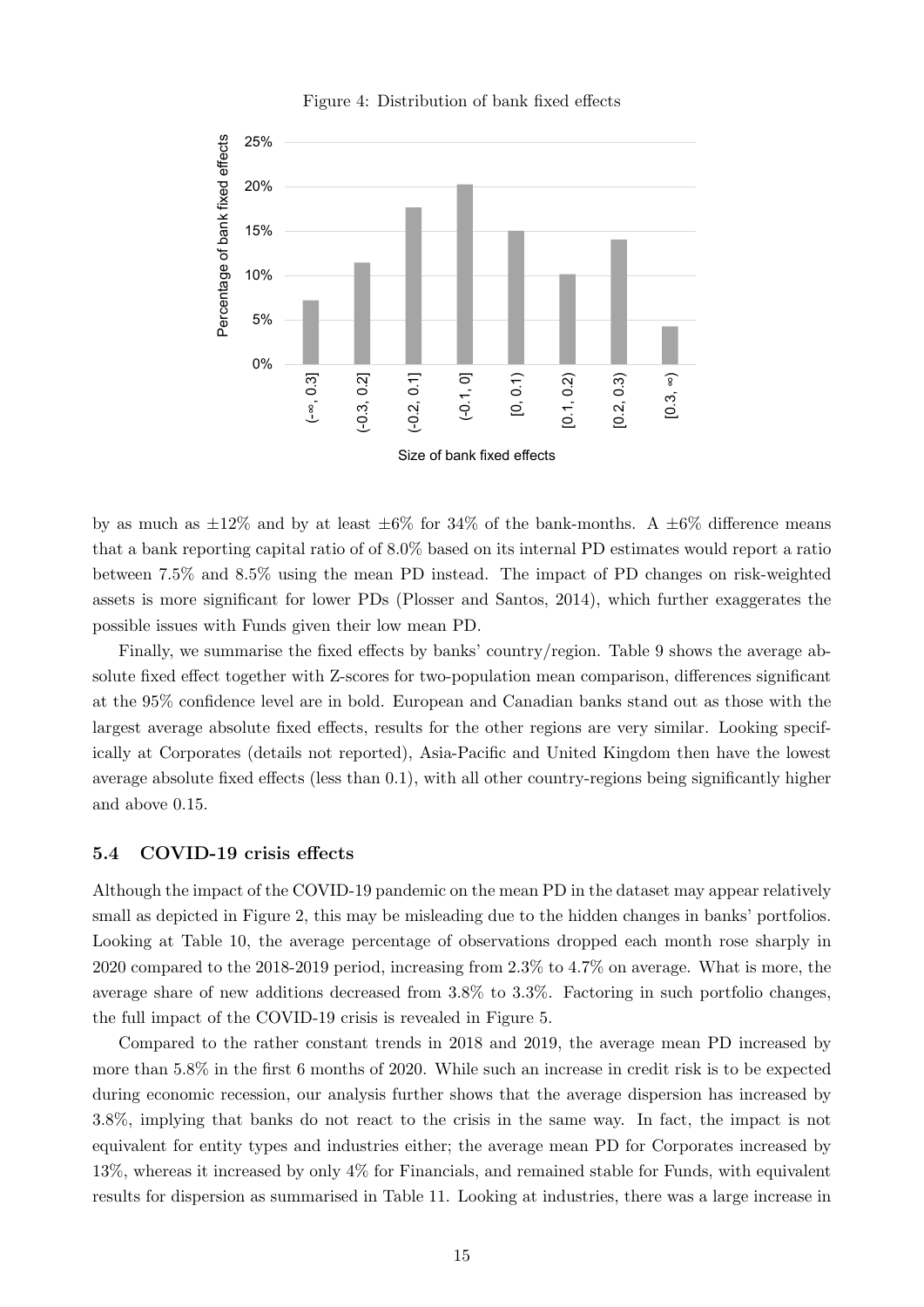

Figure 4: Distribution of bank fixed effects

by as much as  $\pm 12\%$  and by at least  $\pm 6\%$  for 34% of the bank-months. A  $\pm 6\%$  difference means that a bank reporting capital ratio of  $6.0\%$  based on its internal PD estimates would report a ratio between 7.5% and 8.5% using the mean PD instead. The impact of PD changes on risk-weighted assets is more significant for lower PDs (Plosser and Santos, 2014), which further exaggerates the possible issues with Funds given their low mean PD.

Finally, we summarise the fixed effects by banks' country/region. Table 9 shows the average absolute fixed effect together with Z-scores for two-population mean comparison, differences significant at the 95% confidence level are in bold. European and Canadian banks stand out as those with the largest average absolute fixed effects, results for the other regions are very similar. Looking specifically at Corporates (details not reported), Asia-Pacific and United Kingdom then have the lowest average absolute fixed effects (less than 0.1), with all other country-regions being significantly higher and above 0.15.

#### 5.4 COVID-19 crisis effects

Although the impact of the COVID-19 pandemic on the mean PD in the dataset may appear relatively small as depicted in Figure 2, this may be misleading due to the hidden changes in banks' portfolios. Looking at Table 10, the average percentage of observations dropped each month rose sharply in 2020 compared to the 2018-2019 period, increasing from 2.3% to 4.7% on average. What is more, the average share of new additions decreased from 3.8% to 3.3%. Factoring in such portfolio changes, the full impact of the COVID-19 crisis is revealed in Figure 5.

Compared to the rather constant trends in 2018 and 2019, the average mean PD increased by more than 5.8% in the first 6 months of 2020. While such an increase in credit risk is to be expected during economic recession, our analysis further shows that the average dispersion has increased by 3.8%, implying that banks do not react to the crisis in the same way. In fact, the impact is not equivalent for entity types and industries either; the average mean PD for Corporates increased by 13%, whereas it increased by only 4% for Financials, and remained stable for Funds, with equivalent results for dispersion as summarised in Table 11. Looking at industries, there was a large increase in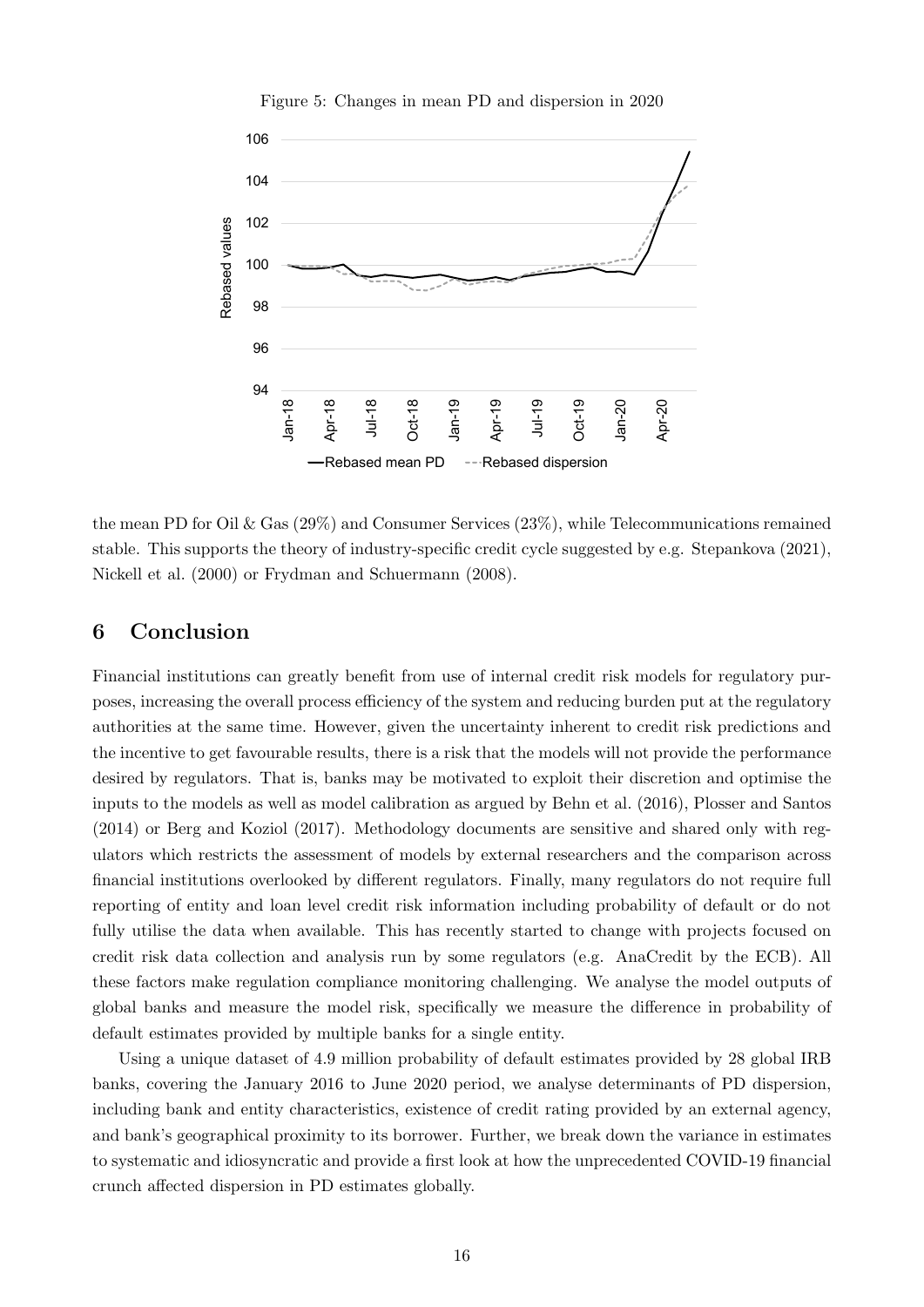

Figure 5: Changes in mean PD and dispersion in 2020

the mean PD for Oil & Gas (29%) and Consumer Services (23%), while Telecommunications remained stable. This supports the theory of industry-specific credit cycle suggested by e.g. Stepankova (2021), Nickell et al. (2000) or Frydman and Schuermann (2008).

# 6 Conclusion

Financial institutions can greatly benefit from use of internal credit risk models for regulatory purposes, increasing the overall process efficiency of the system and reducing burden put at the regulatory authorities at the same time. However, given the uncertainty inherent to credit risk predictions and the incentive to get favourable results, there is a risk that the models will not provide the performance desired by regulators. That is, banks may be motivated to exploit their discretion and optimise the inputs to the models as well as model calibration as argued by Behn et al. (2016), Plosser and Santos (2014) or Berg and Koziol (2017). Methodology documents are sensitive and shared only with regulators which restricts the assessment of models by external researchers and the comparison across financial institutions overlooked by different regulators. Finally, many regulators do not require full reporting of entity and loan level credit risk information including probability of default or do not fully utilise the data when available. This has recently started to change with projects focused on credit risk data collection and analysis run by some regulators (e.g. AnaCredit by the ECB). All these factors make regulation compliance monitoring challenging. We analyse the model outputs of global banks and measure the model risk, specifically we measure the difference in probability of default estimates provided by multiple banks for a single entity.

Using a unique dataset of 4.9 million probability of default estimates provided by 28 global IRB banks, covering the January 2016 to June 2020 period, we analyse determinants of PD dispersion, including bank and entity characteristics, existence of credit rating provided by an external agency, and bank's geographical proximity to its borrower. Further, we break down the variance in estimates to systematic and idiosyncratic and provide a first look at how the unprecedented COVID-19 financial crunch affected dispersion in PD estimates globally.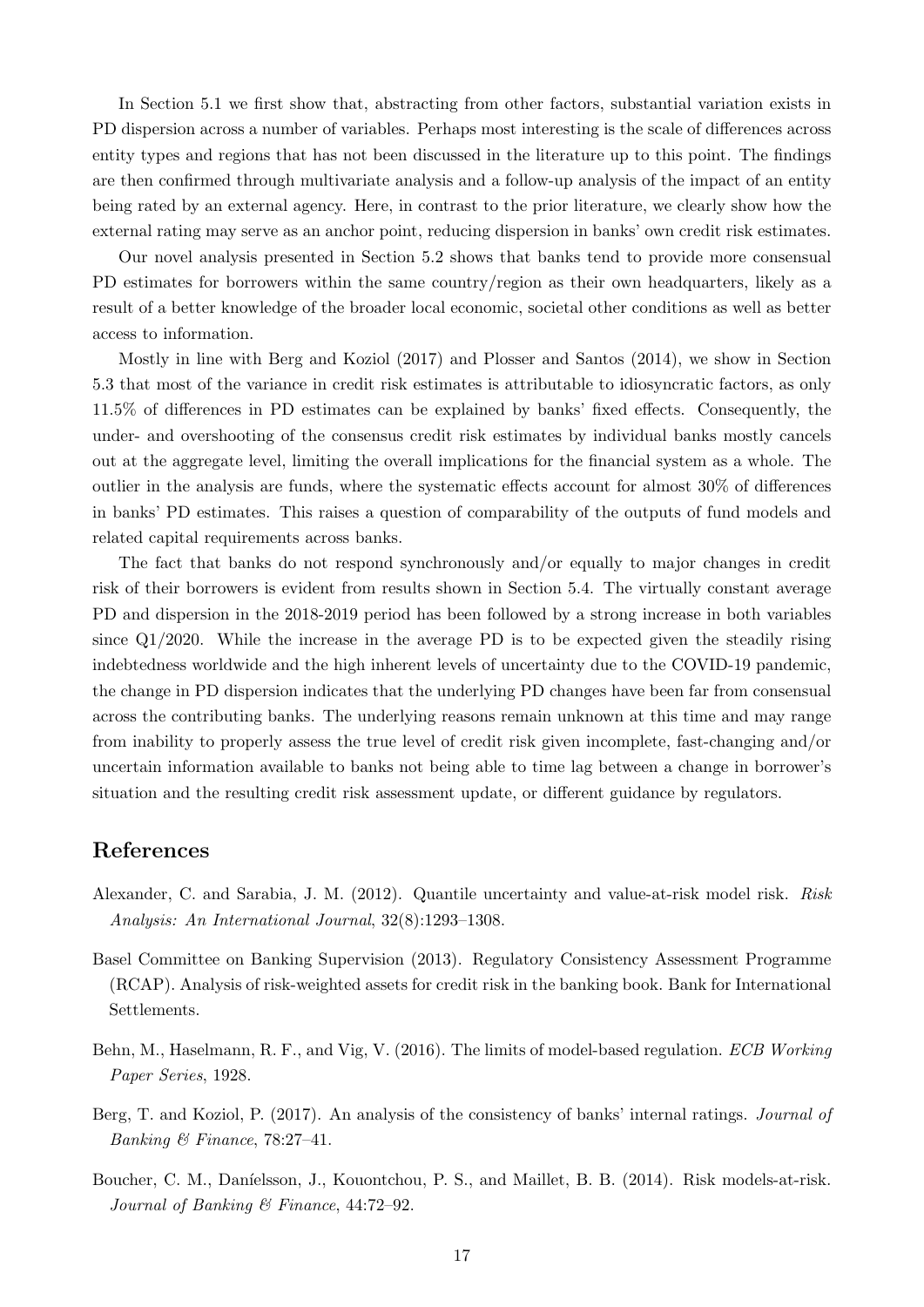In Section 5.1 we first show that, abstracting from other factors, substantial variation exists in PD dispersion across a number of variables. Perhaps most interesting is the scale of differences across entity types and regions that has not been discussed in the literature up to this point. The findings are then confirmed through multivariate analysis and a follow-up analysis of the impact of an entity being rated by an external agency. Here, in contrast to the prior literature, we clearly show how the external rating may serve as an anchor point, reducing dispersion in banks' own credit risk estimates.

Our novel analysis presented in Section 5.2 shows that banks tend to provide more consensual PD estimates for borrowers within the same country/region as their own headquarters, likely as a result of a better knowledge of the broader local economic, societal other conditions as well as better access to information.

Mostly in line with Berg and Koziol (2017) and Plosser and Santos (2014), we show in Section 5.3 that most of the variance in credit risk estimates is attributable to idiosyncratic factors, as only 11.5% of differences in PD estimates can be explained by banks' fixed effects. Consequently, the under- and overshooting of the consensus credit risk estimates by individual banks mostly cancels out at the aggregate level, limiting the overall implications for the financial system as a whole. The outlier in the analysis are funds, where the systematic effects account for almost 30% of differences in banks' PD estimates. This raises a question of comparability of the outputs of fund models and related capital requirements across banks.

The fact that banks do not respond synchronously and/or equally to major changes in credit risk of their borrowers is evident from results shown in Section 5.4. The virtually constant average PD and dispersion in the 2018-2019 period has been followed by a strong increase in both variables since  $Q1/2020$ . While the increase in the average PD is to be expected given the steadily rising indebtedness worldwide and the high inherent levels of uncertainty due to the COVID-19 pandemic, the change in PD dispersion indicates that the underlying PD changes have been far from consensual across the contributing banks. The underlying reasons remain unknown at this time and may range from inability to properly assess the true level of credit risk given incomplete, fast-changing and/or uncertain information available to banks not being able to time lag between a change in borrower's situation and the resulting credit risk assessment update, or different guidance by regulators.

# References

- Alexander, C. and Sarabia, J. M. (2012). Quantile uncertainty and value-at-risk model risk. Risk Analysis: An International Journal, 32(8):1293–1308.
- Basel Committee on Banking Supervision (2013). Regulatory Consistency Assessment Programme (RCAP). Analysis of risk-weighted assets for credit risk in the banking book. Bank for International Settlements.
- Behn, M., Haselmann, R. F., and Vig, V. (2016). The limits of model-based regulation. ECB Working Paper Series, 1928.
- Berg, T. and Koziol, P. (2017). An analysis of the consistency of banks' internal ratings. Journal of Banking & Finance,  $78:27-41$ .
- Boucher, C. M., Daníelsson, J., Kouontchou, P. S., and Maillet, B. B. (2014). Risk models-at-risk. Journal of Banking & Finance, 44:72–92.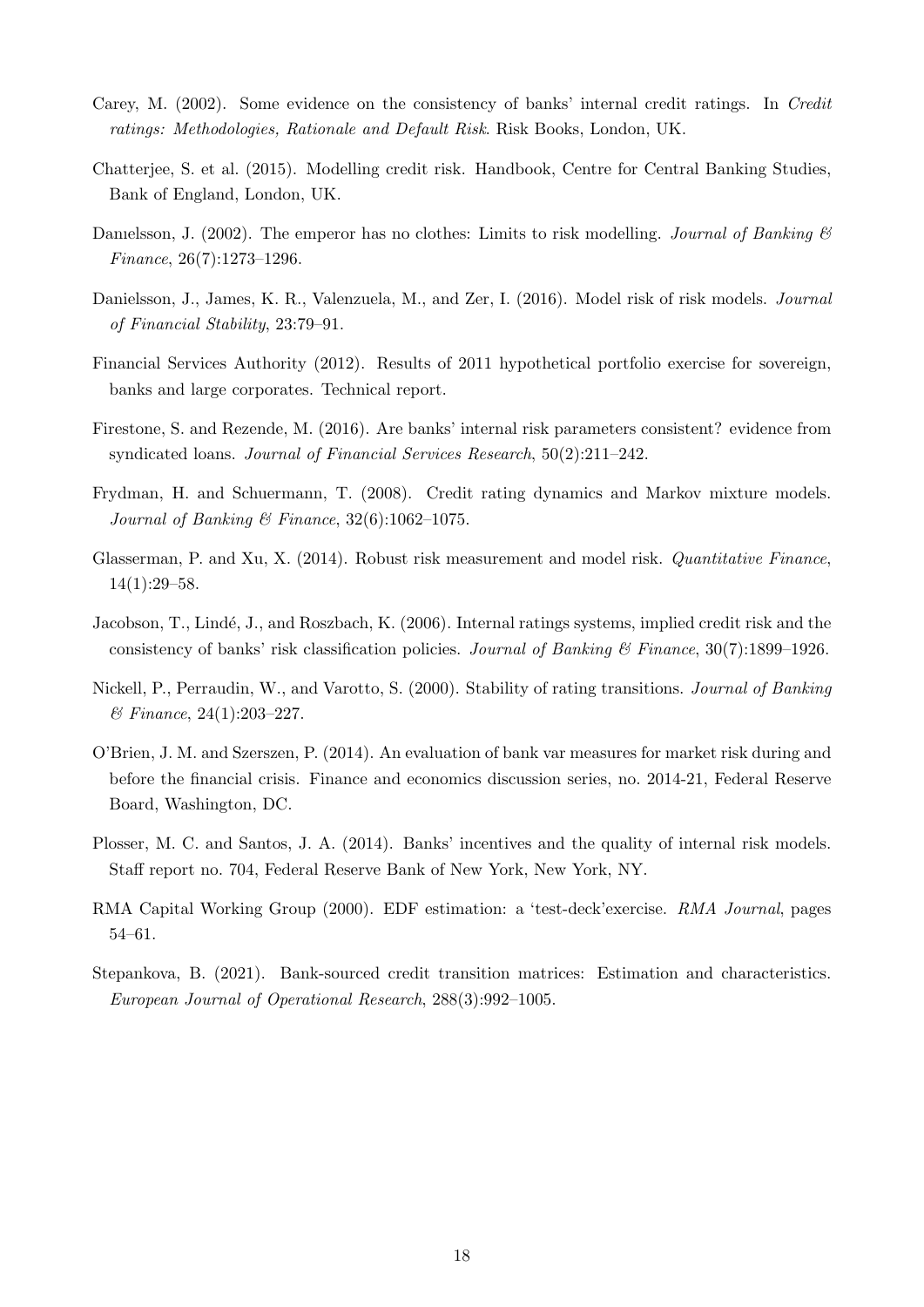- Carey, M. (2002). Some evidence on the consistency of banks' internal credit ratings. In Credit ratings: Methodologies, Rationale and Default Risk. Risk Books, London, UK.
- Chatterjee, S. et al. (2015). Modelling credit risk. Handbook, Centre for Central Banking Studies, Bank of England, London, UK.
- Danielsson, J. (2002). The emperor has no clothes: Limits to risk modelling. Journal of Banking  $\mathcal{C}$ Finance, 26(7):1273–1296.
- Danielsson, J., James, K. R., Valenzuela, M., and Zer, I. (2016). Model risk of risk models. Journal of Financial Stability, 23:79–91.
- Financial Services Authority (2012). Results of 2011 hypothetical portfolio exercise for sovereign, banks and large corporates. Technical report.
- Firestone, S. and Rezende, M. (2016). Are banks' internal risk parameters consistent? evidence from syndicated loans. Journal of Financial Services Research, 50(2):211–242.
- Frydman, H. and Schuermann, T. (2008). Credit rating dynamics and Markov mixture models. Journal of Banking & Finance,  $32(6):1062-1075$ .
- Glasserman, P. and Xu, X. (2014). Robust risk measurement and model risk. *Quantitative Finance*, 14(1):29–58.
- Jacobson, T., Lindé, J., and Roszbach, K. (2006). Internal ratings systems, implied credit risk and the consistency of banks' risk classification policies. Journal of Banking  $\mathscr B$  Finance, 30(7):1899–1926.
- Nickell, P., Perraudin, W., and Varotto, S. (2000). Stability of rating transitions. Journal of Banking  $\&\ Finance, 24(1):203-227.$
- O'Brien, J. M. and Szerszen, P. (2014). An evaluation of bank var measures for market risk during and before the financial crisis. Finance and economics discussion series, no. 2014-21, Federal Reserve Board, Washington, DC.
- Plosser, M. C. and Santos, J. A. (2014). Banks' incentives and the quality of internal risk models. Staff report no. 704, Federal Reserve Bank of New York, New York, NY.
- RMA Capital Working Group (2000). EDF estimation: a 'test-deck'exercise. RMA Journal, pages 54–61.
- Stepankova, B. (2021). Bank-sourced credit transition matrices: Estimation and characteristics. European Journal of Operational Research, 288(3):992–1005.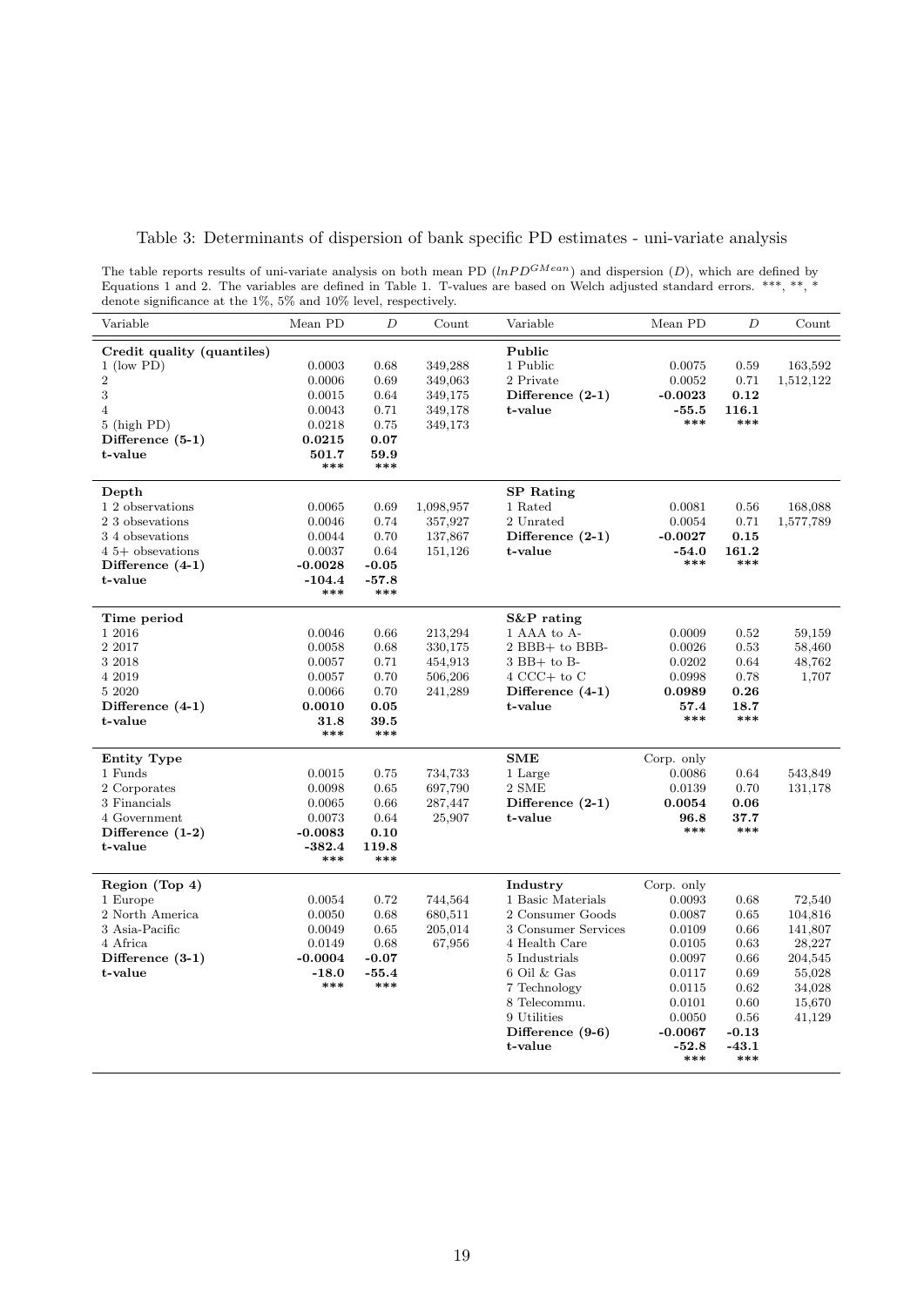|  | Table 3: Determinants of dispersion of bank specific PD estimates - uni-variate analysis |  |  |
|--|------------------------------------------------------------------------------------------|--|--|
|  |                                                                                          |  |  |

| The table reports results of uni-variate analysis on both mean PD $(lnPD^{GMean})$ and dispersion $(D)$ , which are defined by |  |
|--------------------------------------------------------------------------------------------------------------------------------|--|
| Equations 1 and 2. The variables are defined in Table 1. T-values are based on Welch adjusted standard errors. ***, **, *      |  |
| denote significance at the $1\%$ , 5% and $10\%$ level, respectively.                                                          |  |

| Variable                        | Mean PD          | $\overline{D}$ | Count              | Variable            | Mean PD        | $\overline{D}$ | Count     |
|---------------------------------|------------------|----------------|--------------------|---------------------|----------------|----------------|-----------|
| Credit quality (quantiles)      |                  |                |                    | Public              |                |                |           |
| $1$ (low PD)                    | 0.0003           | 0.68           | 349,288            | 1 Public            | 0.0075         | 0.59           | 163,592   |
| $\overline{2}$                  | 0.0006           | 0.69           | 349,063            | 2 Private           | 0.0052         | 0.71           | 1,512,122 |
| 3                               | 0.0015           | 0.64           | 349,175            | Difference $(2-1)$  | $-0.0023$      | 0.12           |           |
| $\overline{4}$<br>$5$ (high PD) | 0.0043<br>0.0218 | 0.71<br>0.75   | 349,178<br>349,173 | t-value             | $-55.5$<br>*** | 116.1<br>***   |           |
| Difference $(5-1)$              | 0.0215           | 0.07           |                    |                     |                |                |           |
| t-value                         | 501.7            | 59.9           |                    |                     |                |                |           |
|                                 | ***              | ***            |                    |                     |                |                |           |
| Depth                           |                  |                |                    | <b>SP</b> Rating    |                |                |           |
| 1 2 observations                | 0.0065           | 0.69           | 1,098,957          | 1 Rated             | 0.0081         | 0.56           | 168,088   |
| 2 3 obsevations                 | 0.0046           | 0.74           | 357,927            | 2 Unrated           | 0.0054         | 0.71           | 1,577,789 |
| 34 obsevations                  | 0.0044           | 0.70           | 137,867            | Difference $(2-1)$  | $-0.0027$      | 0.15           |           |
| $4.5+$ obsevations              | 0.0037           | 0.64           | 151,126            | t-value             | $-54.0$<br>*** | 161.2<br>***   |           |
| Difference $(4-1)$              | $-0.0028$        | $-0.05$        |                    |                     |                |                |           |
| t-value                         | $-104.4$<br>***  | $-57.8$<br>*** |                    |                     |                |                |           |
| Time period                     |                  |                |                    | $S\&P$ rating       |                |                |           |
| 1 2016                          | 0.0046           | 0.66           | 213,294            | 1 AAA to A-         | 0.0009         | 0.52           | 59.159    |
| 2 2017                          | 0.0058           | 0.68           | 330,175            | 2 BBB+ to BBB-      | 0.0026         | 0.53           | 58,460    |
| 3 2018                          | 0.0057           | 0.71           | 454,913            | $3$ BB+ to B- $\,$  | 0.0202         | 0.64           | 48,762    |
| 4 2019                          | 0.0057           | 0.70           | 506,206            | $4$ CCC+ to C       | 0.0998         | 0.78           | 1,707     |
| 5 2020                          | 0.0066           | 0.70           | 241,289            | Difference $(4-1)$  | 0.0989         | 0.26           |           |
| Difference $(4-1)$              | 0.0010           | 0.05           |                    | t-value             | 57.4           | 18.7           |           |
| t-value                         | 31.8<br>***      | 39.5<br>***    |                    |                     | ***            | ***            |           |
| <b>Entity Type</b>              |                  |                |                    | SME                 | Corp. only     |                |           |
| 1 Funds                         | 0.0015           | 0.75           | 734,733            | 1 Large             | 0.0086         | 0.64           | 543,849   |
| 2 Corporates                    | 0.0098           | 0.65           | 697,790            | 2 SME               | 0.0139         | 0.70           | 131,178   |
| 3 Financials                    | 0.0065           | 0.66           | 287,447            | Difference $(2-1)$  | 0.0054         | 0.06           |           |
| 4 Government                    | 0.0073           | 0.64           | 25,907             | t-value             | 96.8           | 37.7           |           |
| Difference $(1-2)$              | $-0.0083$        | 0.10           |                    |                     | ***            | ***            |           |
| t-value                         | $-382.4$<br>***  | 119.8<br>***   |                    |                     |                |                |           |
| Region (Top 4)                  |                  |                |                    | Industry            | Corp. only     |                |           |
| 1 Europe                        | 0.0054           | 0.72           | 744,564            | 1 Basic Materials   | 0.0093         | 0.68           | 72,540    |
| 2 North America                 | 0.0050           | 0.68           | 680,511            | 2 Consumer Goods    | 0.0087         | 0.65           | 104,816   |
| 3 Asia-Pacific                  | 0.0049           | 0.65           | 205,014            | 3 Consumer Services | 0.0109         | 0.66           | 141,807   |
| 4 Africa                        | 0.0149           | 0.68           | 67,956             | 4 Health Care       | 0.0105         | 0.63           | 28,227    |
| Difference $(3-1)$              | $-0.0004$        | $-0.07$        |                    | 5 Industrials       | 0.0097         | 0.66           | 204,545   |
| t-value                         | $-18.0$          | $-55.4$        |                    | 6 Oil & Gas         | 0.0117         | 0.69           | 55,028    |
|                                 | ***              | ***            |                    | 7 Technology        | 0.0115         | 0.62           | 34,028    |
|                                 |                  |                |                    | 8 Telecommu.        | 0.0101         | 0.60           | 15,670    |
|                                 |                  |                |                    | 9 Utilities         | 0.0050         | 0.56           | 41,129    |
|                                 |                  |                |                    | Difference (9-6)    | $-0.0067$      | $-0.13$        |           |
|                                 |                  |                |                    | t-value             | $-52.8$<br>*** | $-43.1$<br>*** |           |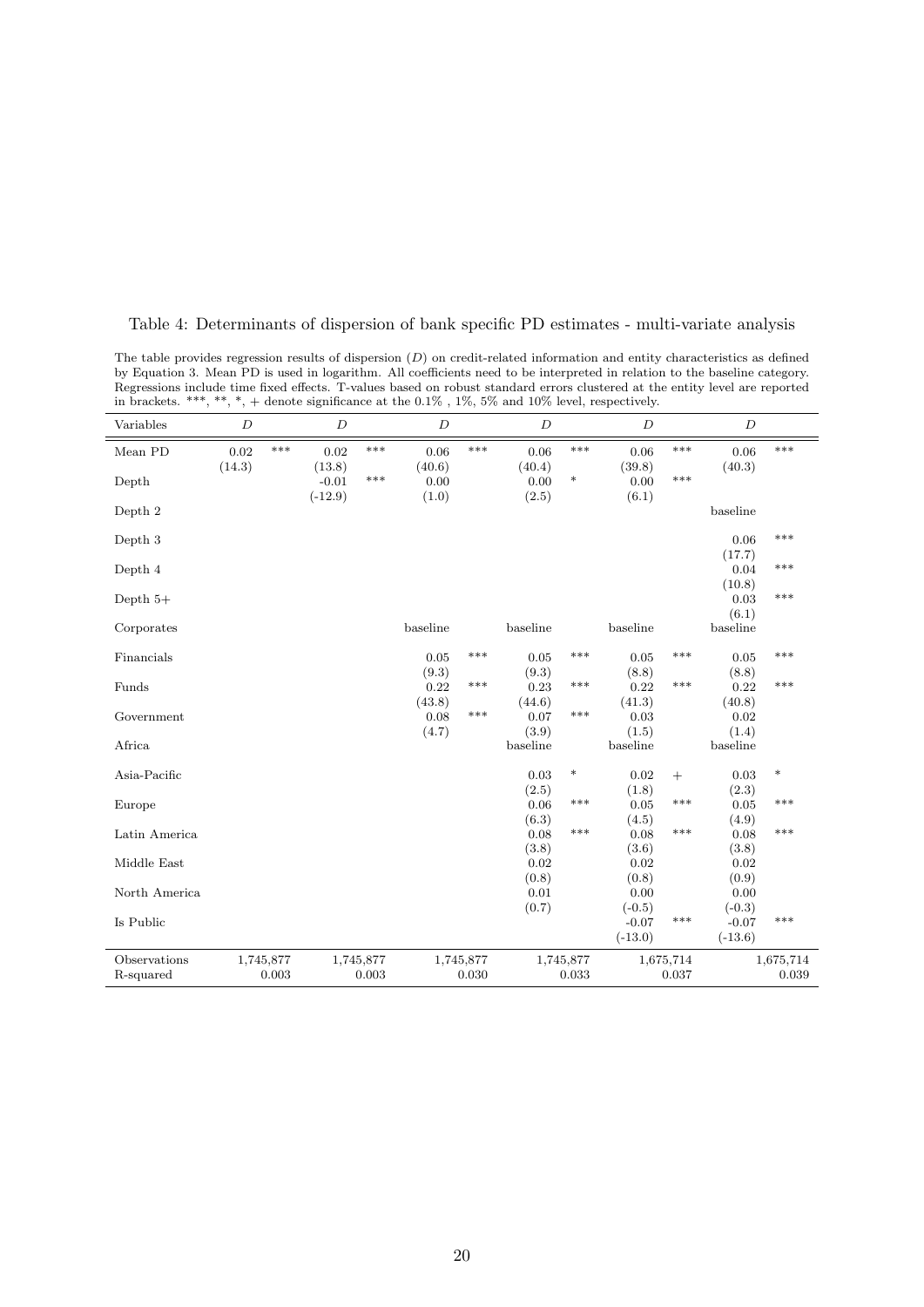| Variables     | $\boldsymbol{D}$ |           | $\boldsymbol{D}$  |           | $\boldsymbol{D}$ |           | $\boldsymbol{D}$  |           | $\boldsymbol{D}$  |           | $\boldsymbol{D}$ |           |
|---------------|------------------|-----------|-------------------|-----------|------------------|-----------|-------------------|-----------|-------------------|-----------|------------------|-----------|
| Mean PD       | 0.02             | ***       | 0.02              | ***       | $0.06\,$         | ***       | 0.06              | ***       | 0.06              | ***       | 0.06             | ***       |
| Depth         | (14.3)           |           | (13.8)<br>$-0.01$ | ***       | (40.6)<br>0.00   |           | (40.4)<br>0.00    | $\ast$    | (39.8)<br>0.00    | $***$     | (40.3)           |           |
|               |                  |           | $(-12.9)$         |           | (1.0)            |           | (2.5)             |           | (6.1)             |           |                  |           |
| Depth 2       |                  |           |                   |           |                  |           |                   |           |                   |           | baseline         |           |
| Depth 3       |                  |           |                   |           |                  |           |                   |           |                   |           | $0.06\,$         | ***       |
|               |                  |           |                   |           |                  |           |                   |           |                   |           | (17.7)<br>0.04   | $***$     |
| Depth 4       |                  |           |                   |           |                  |           |                   |           |                   |           | (10.8)           |           |
| Depth $5+$    |                  |           |                   |           |                  |           |                   |           |                   |           | 0.03             | ***       |
|               |                  |           |                   |           |                  |           |                   |           |                   |           | (6.1)            |           |
| Corporates    |                  |           |                   |           | baseline         |           | baseline          |           | baseline          |           | baseline         |           |
| Financials    |                  |           |                   |           | 0.05             | ***       | 0.05              | $***$     | 0.05              | $***$     | 0.05             | $***$     |
|               |                  |           |                   |           | (9.3)            |           | (9.3)             |           | (8.8)             |           | (8.8)            |           |
| Funds         |                  |           |                   |           | 0.22             | ***       | 0.23              | $***$     | 0.22              | $***$     | 0.22             | $***$     |
|               |                  |           |                   |           | (43.8)           | ***       | (44.6)            | $***$     | (41.3)            |           | (40.8)           |           |
| Government    |                  |           |                   |           | 0.08             |           | 0.07              |           | 0.03              |           | 0.02             |           |
| Africa        |                  |           |                   |           | (4.7)            |           | (3.9)<br>baseline |           | (1.5)<br>baseline |           | (1.4)            |           |
|               |                  |           |                   |           |                  |           |                   |           |                   |           | baseline         |           |
| Asia-Pacific  |                  |           |                   |           |                  |           | 0.03              | $\ast$    | 0.02              | $^{+}$    | 0.03             | $\ast$    |
|               |                  |           |                   |           |                  |           | (2.5)             | ***       | (1.8)             | ***       | (2.3)            | ***       |
| Europe        |                  |           |                   |           |                  |           | 0.06              |           | 0.05              |           | 0.05             |           |
| Latin America |                  |           |                   |           |                  |           | (6.3)<br>0.08     | $***$     | (4.5)<br>0.08     | $***$     | (4.9)<br>0.08    | $***$     |
|               |                  |           |                   |           |                  |           | (3.8)             |           | (3.6)             |           | (3.8)            |           |
| Middle East   |                  |           |                   |           |                  |           | 0.02              |           | 0.02              |           | 0.02             |           |
|               |                  |           |                   |           |                  |           | (0.8)             |           | (0.8)             |           | (0.9)            |           |
| North America |                  |           |                   |           |                  |           | 0.01              |           | 0.00              |           | 0.00             |           |
|               |                  |           |                   |           |                  |           | (0.7)             |           | $(-0.5)$          |           | $(-0.3)$         |           |
| Is Public     |                  |           |                   |           |                  |           |                   |           | $-0.07$           | $***$     | $-0.07$          | $***$     |
|               |                  |           |                   |           |                  |           |                   |           | $(-13.0)$         |           | $(-13.6)$        |           |
| Observations  |                  | 1,745,877 |                   | 1,745,877 |                  | 1,745,877 |                   | 1,745,877 |                   | 1,675,714 |                  | 1,675,714 |
| R-squared     |                  | 0.003     |                   | 0.003     |                  | 0.030     |                   | 0.033     |                   | 0.037     |                  | 0.039     |

Table 4: Determinants of dispersion of bank specific PD estimates - multi-variate analysis

The table provides regression results of dispersion  $(D)$  on credit-related information and entity characteristics as defined by Equation 3. Mean PD is used in logarithm. All coefficients need to be interpreted in relation to the baseline category. Regressions include time fixed effects. T-values based on robust standard errors clustered at the entity level are reported in brackets. \*\*\*, \*\*, \*, + denote significance at the  $0.1\%$  ,  $1\%$ ,  $5\%$  and  $10\%$  level, respectively.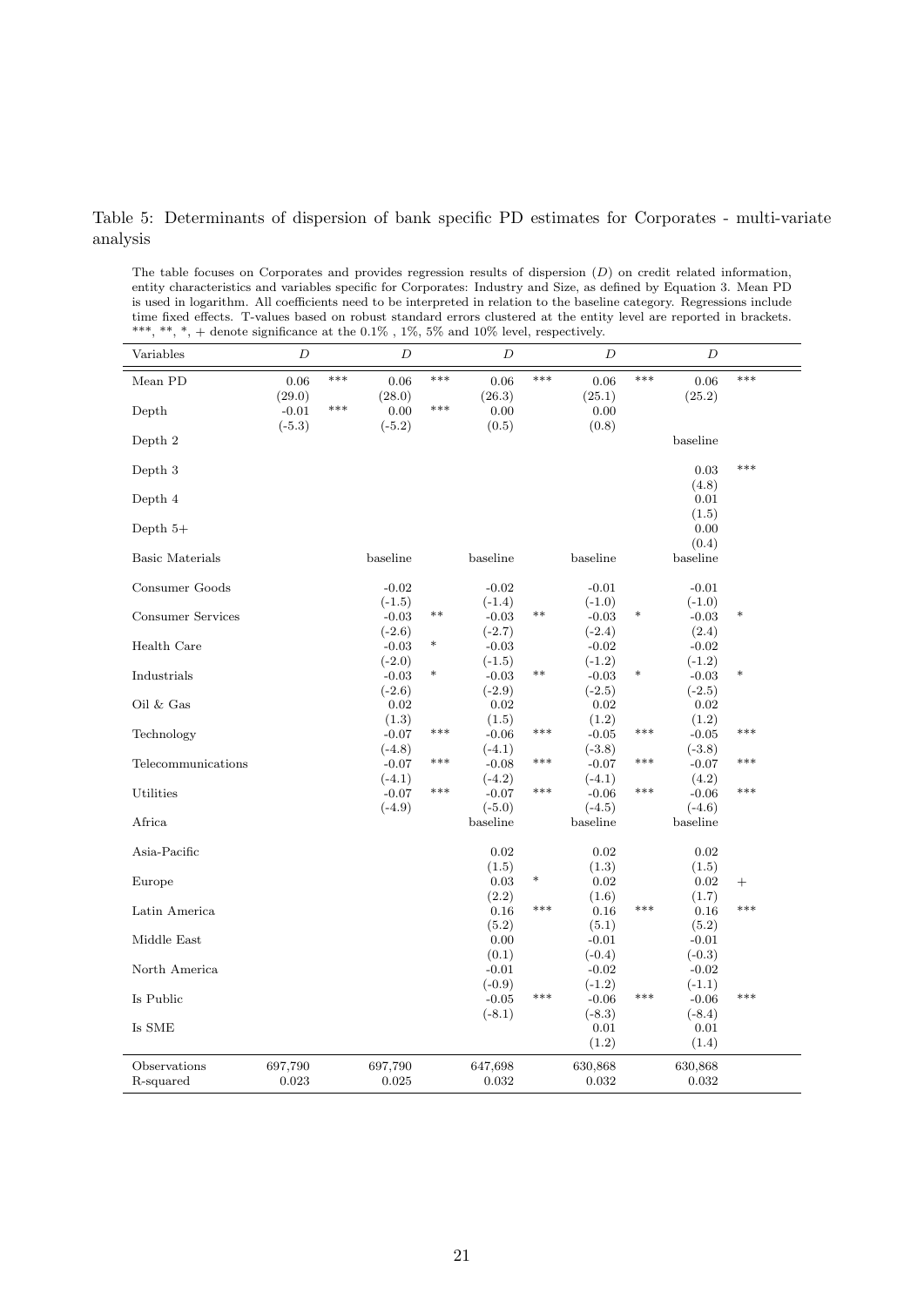#### Table 5: Determinants of dispersion of bank specific PD estimates for Corporates - multi-variate analysis

The table focuses on Corporates and provides regression results of dispersion  $(D)$  on credit related information, entity characteristics and variables specific for Corporates: Industry and Size, as defined by Equation 3. Mean PD is used in logarithm. All coefficients need to be interpreted in relation to the baseline category. Regressions include time fixed effects. T-values based on robust standard errors clustered at the entity level are reported in brackets. \*\*\*, \*\*, \*, + denote significance at the  $0.1\%$ ,  $1\%$ ,  $5\%$  and  $10\%$  level, respectively.

| Variables              | D                 |       | D                   |        | D                   |        | D                   |        | $\boldsymbol{D}$     |        |
|------------------------|-------------------|-------|---------------------|--------|---------------------|--------|---------------------|--------|----------------------|--------|
| Mean PD                | 0.06              | ***   | 0.06                | ***    | 0.06                | ***    | 0.06                | ***    | 0.06                 | ***    |
| Depth                  | (29.0)<br>$-0.01$ | $***$ | (28.0)<br>0.00      | $***$  | (26.3)<br>0.00      |        | (25.1)<br>0.00      |        | (25.2)               |        |
|                        | $(-5.3)$          |       | $(-5.2)$            |        | (0.5)               |        | (0.8)               |        |                      |        |
| Depth 2                |                   |       |                     |        |                     |        |                     |        | baseline             |        |
| Depth 3                |                   |       |                     |        |                     |        |                     |        | 0.03                 | ***    |
|                        |                   |       |                     |        |                     |        |                     |        | (4.8)                |        |
| Depth 4                |                   |       |                     |        |                     |        |                     |        | 0.01                 |        |
|                        |                   |       |                     |        |                     |        |                     |        | (1.5)                |        |
| Depth $5+$             |                   |       |                     |        |                     |        |                     |        | 0.00                 |        |
|                        |                   |       |                     |        |                     |        |                     |        | (0.4)                |        |
| <b>Basic Materials</b> |                   |       | baseline            |        | baseline            |        | baseline            |        | baseline             |        |
| Consumer Goods         |                   |       | $-0.02$             |        | $-0.02$             |        | $-0.01$             |        | $-0.01$              |        |
|                        |                   |       | $(-1.5)$            |        | $(-1.4)$            |        | $(-1.0)$            |        | $(-1.0)$             |        |
| Consumer Services      |                   |       | $-0.03$             | $***$  | $-0.03$             | $***$  | $-0.03$             | $\ast$ | $-0.03$              | *      |
|                        |                   |       | $(-2.6)$            |        | $(-2.7)$            |        | $(-2.4)$            |        | (2.4)                |        |
| Health Care            |                   |       | $-0.03$             | $\ast$ | $-0.03$             |        | $-0.02$             |        | $-0.02$              |        |
|                        |                   |       | $(-2.0)$            |        | $(-1.5)$            |        | $(-1.2)$            |        | $(-1.2)$             |        |
| Industrials            |                   |       | $-0.03$             | $\ast$ | $-0.03$             | $***$  | $-0.03$             | $\ast$ | $-0.03$              | *      |
|                        |                   |       | $(-2.6)$            |        | $(-2.9)$            |        | $(-2.5)$            |        | $(-2.5)$             |        |
| Oil $&$ Gas            |                   |       | 0.02                |        | 0.02                |        | 0.02                |        | 0.02                 |        |
|                        |                   |       | (1.3)               | $***$  | (1.5)               | $***$  | (1.2)               |        | (1.2)                | ***    |
| Technology             |                   |       | $-0.07$             |        | $-0.06$             |        | $-0.05$             | $***$  | $-0.05$              |        |
|                        |                   |       | $(-4.8)$            | ***    | $(-4.1)$            | ***    | $(-3.8)$            | ***    | $(-3.8)$             | ***    |
| Telecommunications     |                   |       | $-0.07$             |        | $-0.08$             |        | $-0.07$             |        | $-0.07$              |        |
| Utilities              |                   |       | $(-4.1)$<br>$-0.07$ | ***    | $(-4.2)$<br>$-0.07$ | ***    | $(-4.1)$<br>$-0.06$ | ***    | (4.2)<br>$-0.06$     | ***    |
|                        |                   |       | $(-4.9)$            |        | $(-5.0)$            |        | $(-4.5)$            |        | $(-4.6)$             |        |
| Africa                 |                   |       |                     |        | baseline            |        | baseline            |        | baseline             |        |
|                        |                   |       |                     |        |                     |        |                     |        |                      |        |
| Asia-Pacific           |                   |       |                     |        | 0.02                |        | 0.02                |        | 0.02                 |        |
|                        |                   |       |                     |        | (1.5)               |        | (1.3)               |        | (1.5)                |        |
| Europe                 |                   |       |                     |        | 0.03                | $\ast$ | 0.02                |        | 0.02                 | $^{+}$ |
|                        |                   |       |                     |        | (2.2)               |        | (1.6)               |        | (1.7)                |        |
| Latin America          |                   |       |                     |        | $0.16\,$            | ***    | $0.16\,$            | ***    | $0.16\,$             | ***    |
|                        |                   |       |                     |        | (5.2)               |        | (5.1)               |        | (5.2)                |        |
| Middle East            |                   |       |                     |        | 0.00                |        | $-0.01$             |        | $-0.01$              |        |
|                        |                   |       |                     |        | (0.1)               |        | $(-0.4)$            |        | $(-0.3)$             |        |
| North America          |                   |       |                     |        | $-0.01$             |        | $-0.02$             |        | $-0.02$              |        |
|                        |                   |       |                     |        | $(-0.9)$            | $***$  | $(-1.2)$            | $***$  | $(-1.1)$             | $***$  |
| Is Public              |                   |       |                     |        | $-0.05$             |        | $-0.06$             |        | $-0.06$              |        |
| Is SME                 |                   |       |                     |        | $(-8.1)$            |        | $(-8.3)$<br>0.01    |        | $(-8.4)$<br>$0.01\,$ |        |
|                        |                   |       |                     |        |                     |        | (1.2)               |        | (1.4)                |        |
|                        |                   |       |                     |        |                     |        |                     |        |                      |        |
| Observations           | 697,790           |       | 697,790             |        | 647,698             |        | 630,868             |        | 630,868              |        |
| R-squared              | 0.023             |       | 0.025               |        | 0.032               |        | 0.032               |        | 0.032                |        |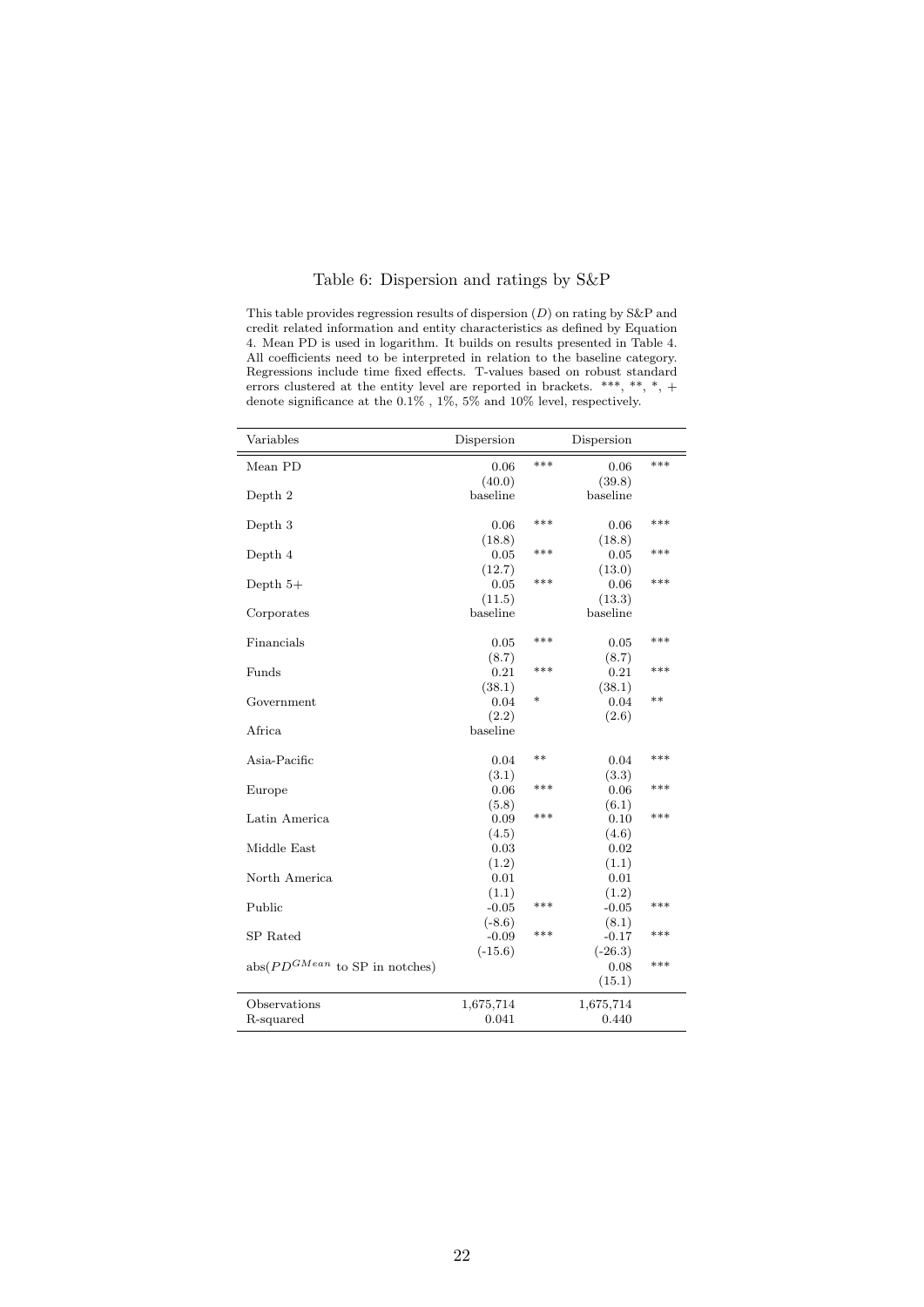#### Table 6: Dispersion and ratings by S&P

This table provides regression results of dispersion  $(D)$  on rating by S&P and credit related information and entity characteristics as defined by Equation 4. Mean PD is used in logarithm. It builds on results presented in Table 4. All coefficients need to be interpreted in relation to the baseline category. Regressions include time fixed effects. T-values based on robust standard errors clustered at the entity level are reported in brackets. \*\*\*, \*\*, \*, + denote significance at the  $0.1\%$  ,  $1\%$  ,  $5\%$  and  $10\%$  level, respectively.

| Variables                          | Dispersion |        | Dispersion |      |
|------------------------------------|------------|--------|------------|------|
| Mean PD                            | 0.06       | ***    | 0.06       | ***  |
|                                    | (40.0)     |        | (39.8)     |      |
| Depth 2                            | baseline   |        | baseline   |      |
|                                    |            |        |            |      |
| Depth 3                            | 0.06       | ***    | 0.06       | ***  |
|                                    | (18.8)     |        | (18.8)     |      |
| Depth 4                            | 0.05       | ***    | 0.05       | ***  |
|                                    | (12.7)     |        | (13.0)     |      |
| Depth $5+$                         | 0.05       | ***    | 0.06       | ***  |
|                                    | (11.5)     |        | (13.3)     |      |
| Corporates                         | baseline   |        | baseline   |      |
| Financials                         | 0.05       | ***    | 0.05       | ***  |
|                                    | (8.7)      |        | (8.7)      |      |
| Funds                              | 0.21       | ***    | 0.21       | ***  |
|                                    | (38.1)     |        | (38.1)     |      |
| Government                         | 0.04       | $\ast$ | 0.04       | $**$ |
|                                    | (2.2)      |        | (2.6)      |      |
| Africa                             | baseline   |        |            |      |
|                                    |            |        |            |      |
| Asia-Pacific                       | 0.04       | $**$   | 0.04       | ***  |
|                                    | (3.1)      |        | (3.3)      |      |
| Europe                             | 0.06       | ***    | 0.06       | ***  |
|                                    | (5.8)      |        | (6.1)      |      |
| Latin America                      | 0.09       | ***    | 0.10       | ***  |
|                                    | (4.5)      |        | (4.6)      |      |
| Middle East                        | 0.03       |        | 0.02       |      |
|                                    | (1.2)      |        | (1.1)      |      |
| North America                      | 0.01       |        | 0.01       |      |
|                                    | (1.1)      |        | (1.2)      |      |
| Public                             | $-0.05$    | ***    | $-0.05$    | ***  |
|                                    | $(-8.6)$   |        | (8.1)      |      |
| SP Rated                           | $-0.09$    | ***    | $-0.17$    | ***  |
|                                    | $(-15.6)$  |        | $(-26.3)$  |      |
| $abs(PD^{GMean}$ to SP in notches) |            |        | 0.08       | ***  |
|                                    |            |        | (15.1)     |      |
| Observations                       | 1,675,714  |        | 1,675,714  |      |
| R-squared                          | 0.041      |        | 0.440      |      |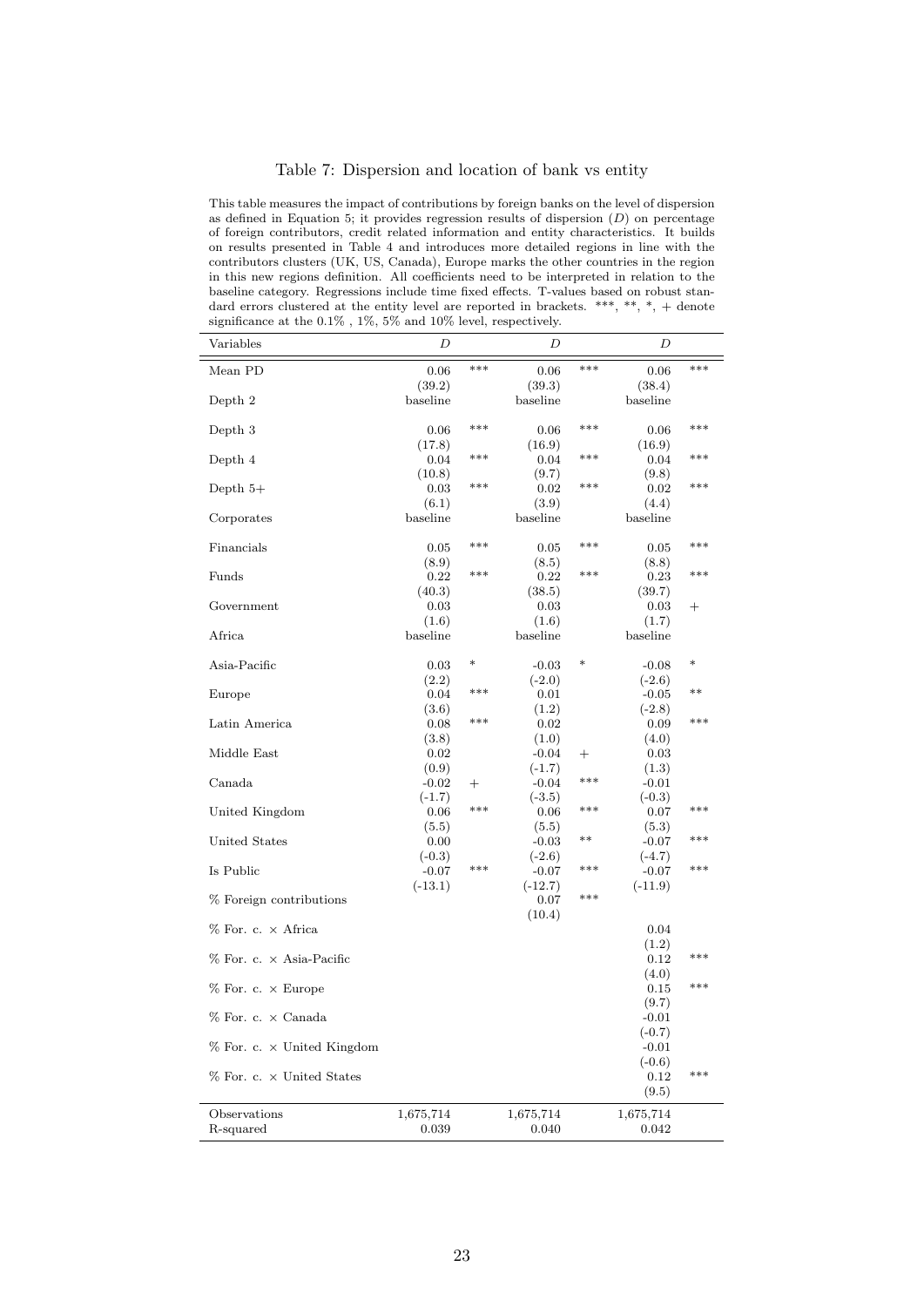#### Table 7: Dispersion and location of bank vs entity

This table measures the impact of contributions by foreign banks on the level of dispersion as defined in Equation 5; it provides regression results of dispersion  $(D)$  on percentage of foreign contributors, credit related information and entity characteristics. It builds on results presented in Table 4 and introduces more detailed regions in line with the contributors clusters (UK, US, Canada), Europe marks the other countries in the region in this new regions definition. All coefficients need to be interpreted in relation to the baseline category. Regressions include time fixed effects. T-values based on robust standard errors clustered at the entity level are reported in brackets. \*\*\*, \*\*, \*, + denote significance at the  $0.1\%$  ,  $1\%$  ,  $5\%$  and  $10\%$  level, respectively.

| Variables                           | D         |        | D         |       | D                |        |
|-------------------------------------|-----------|--------|-----------|-------|------------------|--------|
| Mean PD                             | 0.06      | ***    | 0.06      | ***   | 0.06             | ***    |
|                                     | (39.2)    |        | (39.3)    |       | (38.4)           |        |
| Depth 2                             | baseline  |        | baseline  |       | baseline         |        |
| Depth 3                             | 0.06      | ***    | 0.06      | ***   | 0.06             | ***    |
|                                     | (17.8)    |        | (16.9)    |       | (16.9)           |        |
| Depth 4                             | 0.04      | ***    | 0.04      | ***   | 0.04             | ***    |
|                                     | (10.8)    |        | (9.7)     |       | (9.8)            |        |
| Depth $5+$                          | 0.03      | ***    | 0.02      | ***   | 0.02             | ***    |
|                                     | (6.1)     |        | (3.9)     |       | (4.4)            |        |
| Corporates                          | baseline  |        | baseline  |       | baseline         |        |
| Financials                          | 0.05      | ***    | 0.05      | ***   | 0.05             | ***    |
|                                     | (8.9)     |        | (8.5)     |       | (8.8)            |        |
| Funds                               | 0.22      | ***    | 0.22      | ***   | 0.23             | ***    |
|                                     | (40.3)    |        | (38.5)    |       | (39.7)           |        |
| Government                          | 0.03      |        | 0.03      |       | 0.03             | $^+$   |
|                                     | (1.6)     |        | (1.6)     |       | (1.7)            |        |
| Africa                              | baseline  |        | baseline  |       | baseline         |        |
| Asia-Pacific                        | 0.03      | $\ast$ | $-0.03$   | ∗     | $-0.08$          | $\ast$ |
|                                     | (2.2)     |        | $(-2.0)$  |       | $(-2.6)$         |        |
| Europe                              | 0.04      | ***    | 0.01      |       | $-0.05$          | $***$  |
|                                     | (3.6)     |        | (1.2)     |       | $(-2.8)$         |        |
| Latin America                       | 0.08      | ***    | 0.02      |       | 0.09             | ***    |
|                                     | (3.8)     |        | (1.0)     |       | (4.0)            |        |
| Middle East                         | 0.02      |        | $-0.04$   | $^+$  | 0.03             |        |
|                                     | (0.9)     |        | $(-1.7)$  |       | (1.3)            |        |
| Canada                              | $-0.02$   | $^{+}$ | $-0.04$   | ***   | $-0.01$          |        |
|                                     | $(-1.7)$  |        | $(-3.5)$  |       | $(-0.3)$         |        |
| United Kingdom                      | 0.06      | ***    | 0.06      | ***   | 0.07             | ***    |
|                                     | (5.5)     |        | (5.5)     |       | (5.3)            |        |
| United States                       | 0.00      |        | $-0.03$   | $***$ | $-0.07$          | ***    |
|                                     | $(-0.3)$  |        | $(-2.6)$  |       | $(-4.7)$         |        |
| Is Public                           | $-0.07$   | ***    | $-0.07$   | ***   | $-0.07$          | ***    |
|                                     | $(-13.1)$ |        | $(-12.7)$ |       | $(-11.9)$        |        |
| % Foreign contributions             |           |        | 0.07      | ***   |                  |        |
| $%$ For. c. $\times$ Africa         |           |        | (10.4)    |       | 0.04             |        |
|                                     |           |        |           |       | (1.2)            |        |
| $%$ For. c. $\times$ Asia-Pacific   |           |        |           |       | 0.12             | ***    |
|                                     |           |        |           |       | (4.0)            |        |
| $%$ For. c. $\times$ Europe         |           |        |           |       | 0.15             | ***    |
|                                     |           |        |           |       |                  |        |
| % For. c. × Canada                  |           |        |           |       | (9.7)<br>$-0.01$ |        |
|                                     |           |        |           |       | $(-0.7)$         |        |
| $%$ For. c. $\times$ United Kingdom |           |        |           |       | $-0.01$          |        |
|                                     |           |        |           |       | $(-0.6)$         |        |
| % For. c. × United States           |           |        |           |       | 0.12             | ***    |
|                                     |           |        |           |       | (9.5)            |        |
| Observations                        | 1,675,714 |        | 1,675,714 |       | 1,675,714        |        |
| R-squared                           | 0.039     |        | 0.040     |       | 0.042            |        |
|                                     |           |        |           |       |                  |        |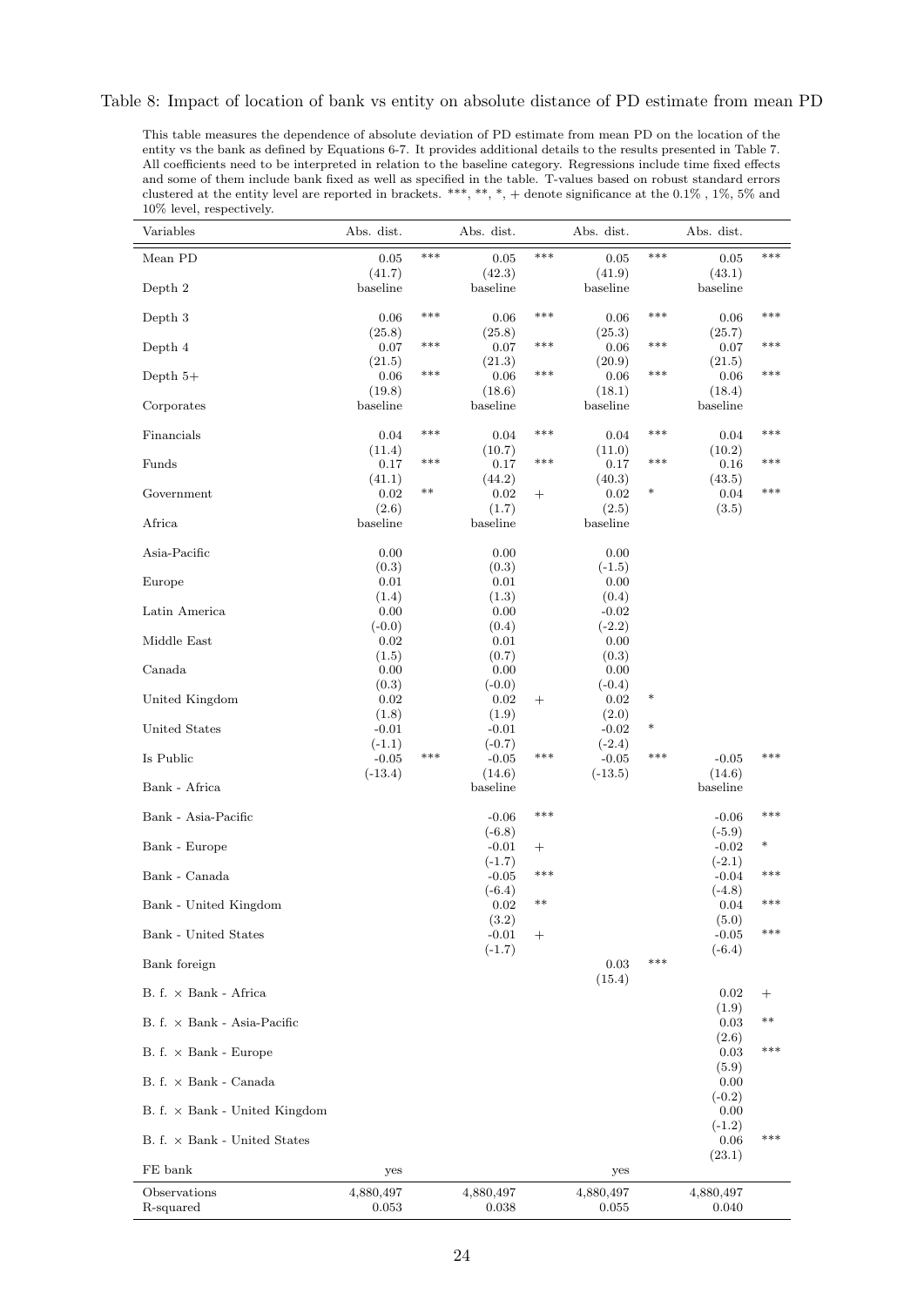This table measures the dependence of absolute deviation of PD estimate from mean PD on the location of the entity vs the bank as defined by Equations 6-7. It provides additional details to the results presented in Table 7. All coefficients need to be interpreted in relation to the baseline category. Regressions include time fixed effects and some of them include bank fixed as well as specified in the table. T-values based on robust standard errors clustered at the entity level are reported in brackets. \*\*\*, \*\*, \*, + denote significance at the 0.1% , 1%, 5% and 10% level, respectively.

| Variables                            | Abs. dist.          |       | Abs. dist.          |        | Abs. dist.          |        | Abs. dist.                  |                    |
|--------------------------------------|---------------------|-------|---------------------|--------|---------------------|--------|-----------------------------|--------------------|
| Mean PD                              | 0.05                | ***   | 0.05                | ***    | 0.05                | ***    | 0.05                        | ***                |
| Depth 2                              | (41.7)<br>baseline  |       | (42.3)<br>baseline  |        | (41.9)<br>baseline  |        | (43.1)<br>$_{\rm baseline}$ |                    |
|                                      |                     |       |                     |        |                     |        |                             |                    |
| Depth 3                              | 0.06<br>(25.8)      | $***$ | 0.06<br>(25.8)      | ***    | 0.06<br>(25.3)      | ***    | 0.06<br>(25.7)              | ***                |
| Depth 4                              | 0.07                | ***   | 0.07                | ***    | 0.06                | ***    | 0.07                        | ***                |
| Depth $5+$                           | (21.5)<br>0.06      | ***   | (21.3)<br>$0.06\,$  | ***    | (20.9)<br>0.06      | ***    | (21.5)<br>0.06              | ***                |
|                                      | (19.8)              |       | (18.6)              |        | (18.1)              |        | (18.4)                      |                    |
| Corporates                           | baseline            |       | baseline            |        | baseline            |        | baseline                    |                    |
| Financials                           | 0.04                | ***   | 0.04                | ***    | 0.04                | ***    | 0.04                        | ***                |
| Funds                                | (11.4)<br>0.17      | ***   | (10.7)<br>0.17      | ***    | (11.0)<br>0.17      | ***    | (10.2)<br>0.16              | ***                |
| Government                           | (41.1)              | $***$ | (44.2)              |        | (40.3)              | $\ast$ | (43.5)<br>0.04              | ***                |
|                                      | 0.02<br>(2.6)       |       | 0.02<br>(1.7)       | $^+$   | 0.02<br>(2.5)       |        | (3.5)                       |                    |
| Africa                               | baseline            |       | baseline            |        | baseline            |        |                             |                    |
| Asia-Pacific                         | 0.00                |       | 0.00                |        | 0.00                |        |                             |                    |
| Europe                               | (0.3)<br>0.01       |       | (0.3)<br>0.01       |        | $(-1.5)$<br>0.00    |        |                             |                    |
|                                      | (1.4)               |       | (1.3)               |        | (0.4)               |        |                             |                    |
| Latin America                        | 0.00<br>$(-0.0)$    |       | 0.00<br>(0.4)       |        | $-0.02$<br>$(-2.2)$ |        |                             |                    |
| Middle East                          | 0.02                |       | 0.01                |        | 0.00                |        |                             |                    |
| Canada                               | (1.5)<br>0.00       |       | (0.7)<br>0.00       |        | (0.3)<br>0.00       |        |                             |                    |
| United Kingdom                       | (0.3)<br>0.02       |       | $(-0.0)$<br>0.02    | $^+$   | $(-0.4)$<br>0.02    | $\ast$ |                             |                    |
|                                      | (1.8)               |       | (1.9)               |        | (2.0)               |        |                             |                    |
| United States                        | $-0.01$<br>$(-1.1)$ |       | $-0.01$<br>$(-0.7)$ |        | $-0.02$<br>$(-2.4)$ | $\ast$ |                             |                    |
| Is Public                            | $-0.05$             | ***   | $-0.05$             | ***    | $-0.05$             | ***    | $-0.05$                     | ***                |
| Bank - Africa                        | $(-13.4)$           |       | (14.6)<br>baseline  |        | $(-13.5)$           |        | (14.6)<br>baseline          |                    |
| Bank - Asia-Pacific                  |                     |       | $-0.06$             | ***    |                     |        | $-0.06$                     | ***                |
|                                      |                     |       | $(-6.8)$            |        |                     |        | $(-5.9)$                    |                    |
| Bank - Europe                        |                     |       | $-0.01$<br>$(-1.7)$ | $^+$   |                     |        | $-0.02$<br>$(-2.1)$         | $\ast$             |
| Bank - Canada                        |                     |       | $-0.05$             | ***    |                     |        | $-0.04$                     | ***                |
| Bank - United Kingdom                |                     |       | $(-6.4)$<br>0.02    | $***$  |                     |        | $(-4.8)$<br>0.04            | ***                |
| Bank - United States                 |                     |       | (3.2)               |        |                     |        | (5.0)                       | ***                |
|                                      |                     |       | $-0.01$<br>$(-1.7)$ | $^{+}$ |                     |        | $-0.05$<br>$(-6.4)$         |                    |
| Bank foreign                         |                     |       |                     |        | 0.03<br>(15.4)      | ***    |                             |                    |
| $B. f. \times Bank - Africa$         |                     |       |                     |        |                     |        | 0.02                        | $\hspace{0.1mm} +$ |
| $B. f. \times Bank - Asia- Pacific$  |                     |       |                     |        |                     |        | (1.9)<br>0.03               | $***$              |
| $B. f. \times Bank - Europe$         |                     |       |                     |        |                     |        | (2.6)<br>0.03               | ***                |
| $B. f. \times Bank - Canada$         |                     |       |                     |        |                     |        | (5.9)<br>0.00               |                    |
| $B. f. \times Bank - United Kingdom$ |                     |       |                     |        |                     |        | $(-0.2)$<br>0.00            |                    |
| $B. f. \times Bank - United States$  |                     |       |                     |        |                     |        | $(-1.2)$<br>0.06            | ***                |
| FE bank                              | yes                 |       |                     |        | yes                 |        | (23.1)                      |                    |
| Observations                         | 4,880,497           |       | 4,880,497           |        | 4,880,497           |        | 4,880,497                   |                    |
| R-squared                            | 0.053               |       | 0.038               |        | 0.055               |        | 0.040                       |                    |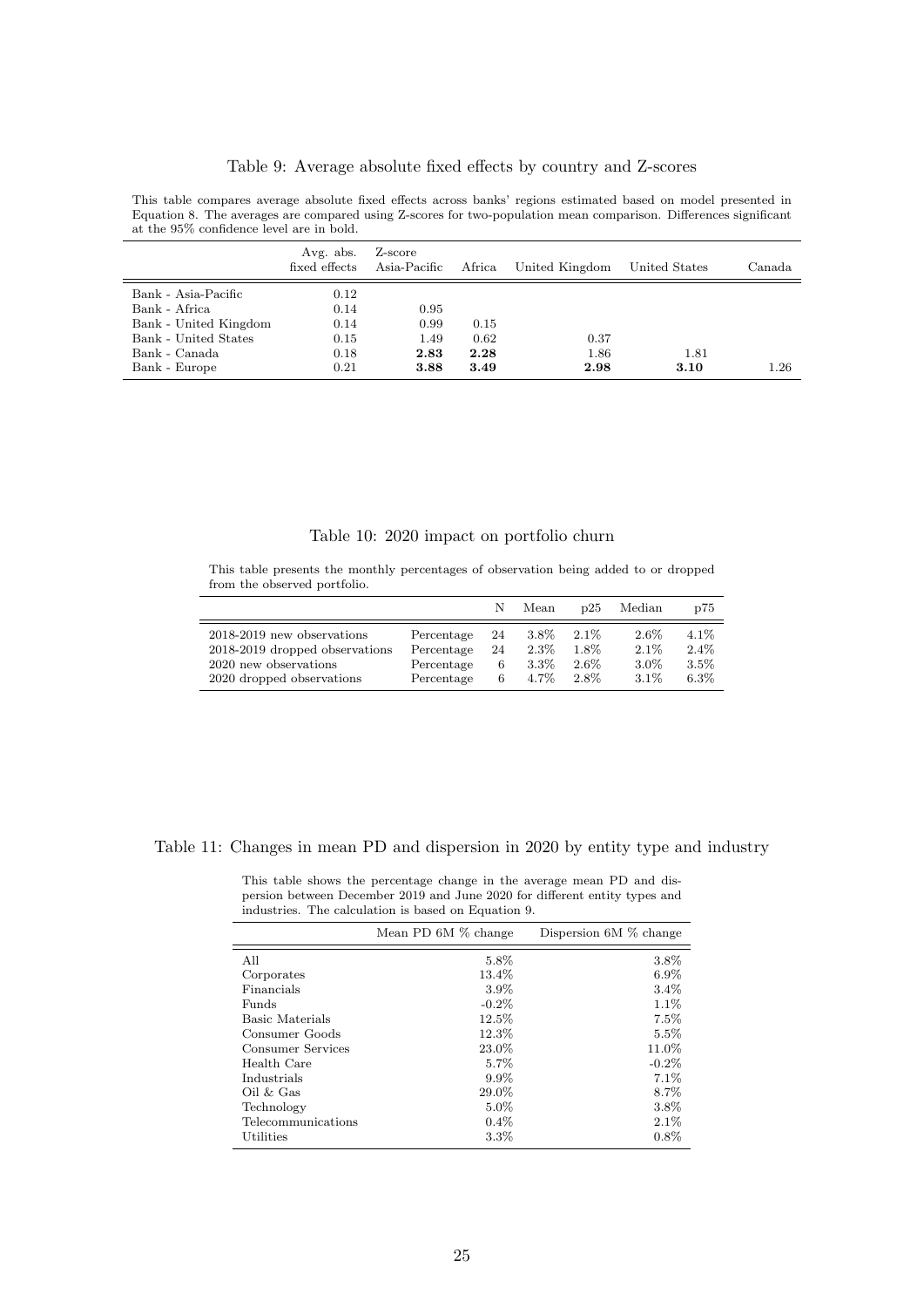#### Table 9: Average absolute fixed effects by country and Z-scores

This table compares average absolute fixed effects across banks' regions estimated based on model presented in Equation 8. The averages are compared using Z-scores for two-population mean comparison. Differences significant at the 95% confidence level are in bold.

|                                                        | Avg. abs.<br>fixed effects | Z-score<br>Asia-Pacific | Africa               | United Kingdom       | United States | Canada |
|--------------------------------------------------------|----------------------------|-------------------------|----------------------|----------------------|---------------|--------|
| Bank - Asia-Pacific<br>Bank - Africa                   | 0.12<br>0.14               | 0.95                    |                      |                      |               |        |
| Bank - United Kingdom                                  | 0.14                       | 0.99                    | 0.15                 |                      |               |        |
| Bank - United States<br>Bank - Canada<br>Bank - Europe | 0.15<br>0.18<br>0.21       | 1.49<br>2.83<br>3.88    | 0.62<br>2.28<br>3.49 | 0.37<br>1.86<br>2.98 | 1.81<br>3.10  | 1.26   |

#### Table 10: 2020 impact on portfolio churn

This table presents the monthly percentages of observation being added to or dropped from the observed portfolio.

|                                |            | N  | Mean    | D25     | Median  | p75     |
|--------------------------------|------------|----|---------|---------|---------|---------|
| 2018-2019 new observations     | Percentage | 24 | $3.8\%$ | $2.1\%$ | $2.6\%$ | $4.1\%$ |
| 2018-2019 dropped observations | Percentage | 24 | $2.3\%$ | $1.8\%$ | $2.1\%$ | $2.4\%$ |
| 2020 new observations          | Percentage | 6  | $3.3\%$ | $2.6\%$ | $3.0\%$ | $3.5\%$ |
| 2020 dropped observations      | Percentage | 6  | $4.7\%$ | 2.8%    | $3.1\%$ | $6.3\%$ |

#### Table 11: Changes in mean PD and dispersion in 2020 by entity type and industry

This table shows the percentage change in the average mean PD and dispersion between December 2019 and June 2020 for different entity types and industries. The calculation is based on Equation 9.

|                    | Mean PD 6M % change | Dispersion $6M\%$ change |
|--------------------|---------------------|--------------------------|
| All                | 5.8%                | 3.8%                     |
| Corporates         | 13.4%               | $6.9\%$                  |
| Financials         | 3.9%                | $3.4\%$                  |
| Funds              | $-0.2\%$            | $1.1\%$                  |
| Basic Materials    | 12.5%               | 7.5%                     |
| Consumer Goods     | 12.3%               | $5.5\%$                  |
| Consumer Services  | 23.0%               | 11.0%                    |
| Health Care        | 5.7%                | $-0.2\%$                 |
| Industrials        | $9.9\%$             | 7.1%                     |
| $Oil \& Gas$       | 29.0%               | 8.7%                     |
| Technology         | $5.0\%$             | 3.8%                     |
| Telecommunications | $0.4\%$             | $2.1\%$                  |
| Utilities          | 3.3%                | $0.8\%$                  |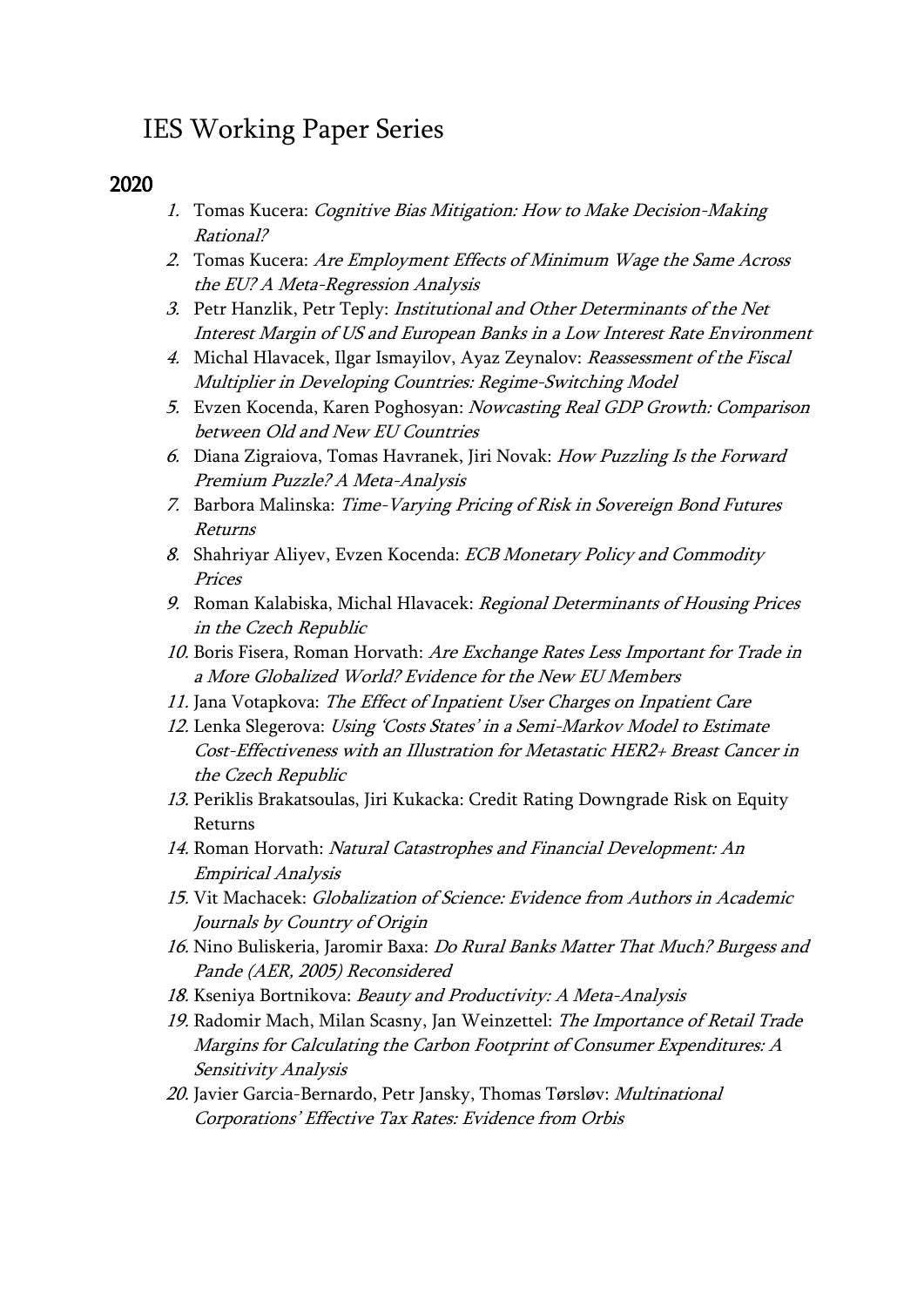# IES Working Paper Series

# 2020

- 1. Tomas Kucera: Cognitive Bias Mitigation: How to Make Decision-Making Rational?
- 2. Tomas Kucera: Are Employment Effects of Minimum Wage the Same Across the EU? A Meta-Regression Analysis
- 3. Petr Hanzlik, Petr Teply: Institutional and Other Determinants of the Net Interest Margin of US and European Banks in a Low Interest Rate Environment
- 4. Michal Hlavacek, Ilgar Ismayilov, Ayaz Zeynalov: Reassessment of the Fiscal Multiplier in Developing Countries: Regime-Switching Model
- 5. Evzen Kocenda, Karen Poghosyan: Nowcasting Real GDP Growth: Comparison between Old and New EU Countries
- 6. Diana Zigraiova, Tomas Havranek, Jiri Novak: How Puzzling Is the Forward Premium Puzzle? A Meta-Analysis
- 7. Barbora Malinska: Time-Varying Pricing of Risk in Sovereign Bond Futures Returns
- 8. Shahriyar Aliyev, Evzen Kocenda: ECB Monetary Policy and Commodity Prices
- 9. Roman Kalabiska, Michal Hlavacek: Regional Determinants of Housing Prices in the Czech Republic
- 10. Boris Fisera, Roman Horvath: Are Exchange Rates Less Important for Trade in a More Globalized World? Evidence for the New EU Members
- 11. Jana Votapkova: The Effect of Inpatient User Charges on Inpatient Care
- 12. Lenka Slegerova: Using 'Costs States' in a Semi-Markov Model to Estimate Cost-Effectiveness with an Illustration for Metastatic HER2+ Breast Cancer in the Czech Republic
- 13. Periklis Brakatsoulas, Jiri Kukacka: Credit Rating Downgrade Risk on Equity Returns
- 14. Roman Horvath: Natural Catastrophes and Financial Development: An Empirical Analysis
- 15. Vit Machacek: Globalization of Science: Evidence from Authors in Academic Journals by Country of Origin
- 16. Nino Buliskeria, Jaromir Baxa: Do Rural Banks Matter That Much? Burgess and Pande (AER, 2005) Reconsidered
- 18. Kseniya Bortnikova: Beauty and Productivity: A Meta-Analysis
- 19. Radomir Mach, Milan Scasny, Jan Weinzettel: The Importance of Retail Trade Margins for Calculating the Carbon Footprint of Consumer Expenditures: A Sensitivity Analysis
- 20. Javier Garcia-Bernardo, Petr Jansky, Thomas Tørsløv: Multinational Corporations' Effective Tax Rates: Evidence from Orbis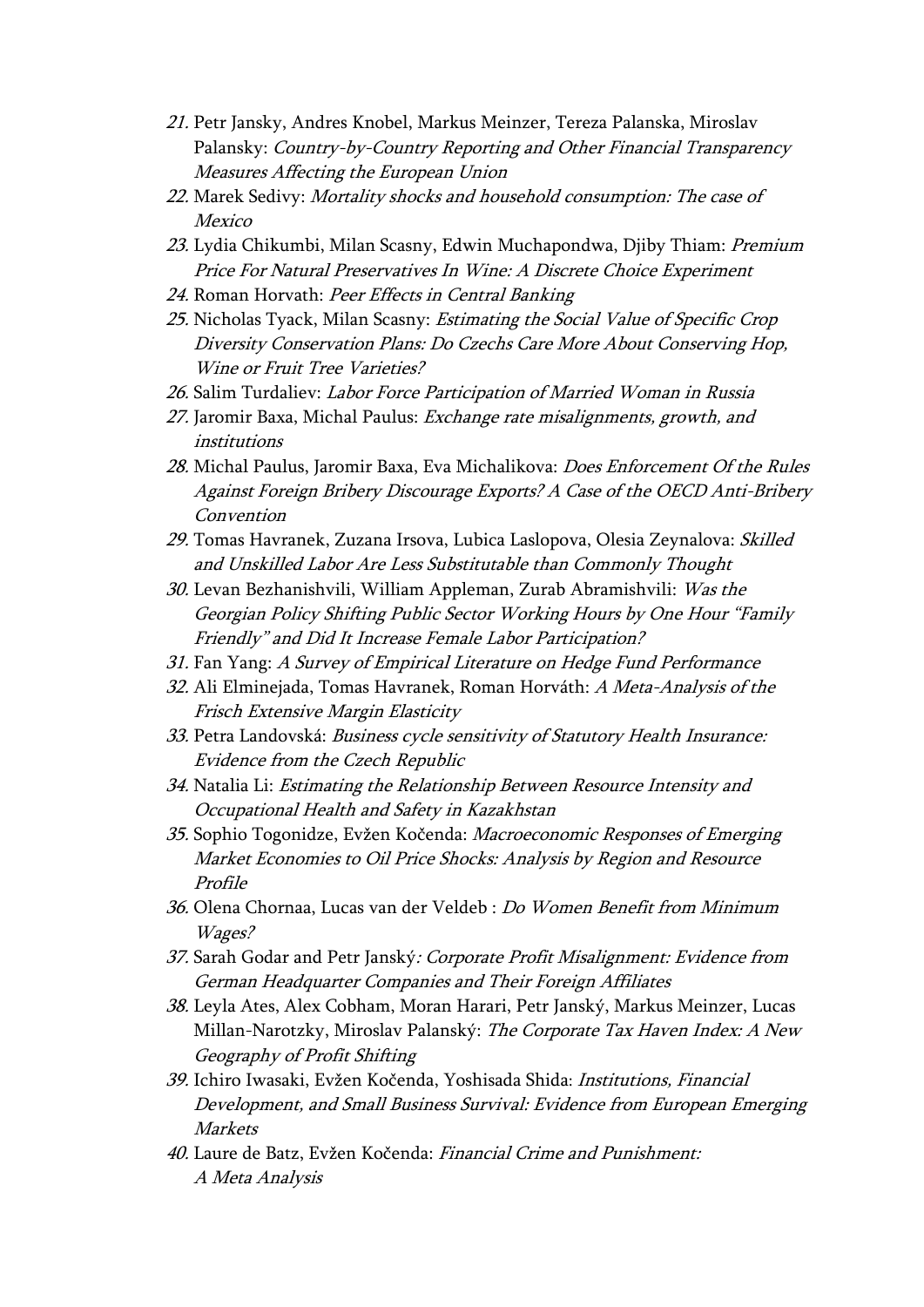- 21. Petr Jansky, Andres Knobel, Markus Meinzer, Tereza Palanska, Miroslav Palansky: Country-by-Country Reporting and Other Financial Transparency Measures Affecting the European Union
- 22. Marek Sedivy: Mortality shocks and household consumption: The case of Mexico
- 23. Lydia Chikumbi, Milan Scasny, Edwin Muchapondwa, Djiby Thiam: Premium Price For Natural Preservatives In Wine: A Discrete Choice Experiment
- 24. Roman Horvath: Peer Effects in Central Banking
- 25. Nicholas Tyack, Milan Scasny: Estimating the Social Value of Specific Crop Diversity Conservation Plans: Do Czechs Care More About Conserving Hop, Wine or Fruit Tree Varieties?
- 26. Salim Turdaliev: Labor Force Participation of Married Woman in Russia
- 27. Jaromir Baxa, Michal Paulus: Exchange rate misalignments, growth, and institutions
- 28. Michal Paulus, Jaromir Baxa, Eva Michalikova: Does Enforcement Of the Rules Against Foreign Bribery Discourage Exports? A Case of the OECD Anti-Bribery Convention
- 29. Tomas Havranek, Zuzana Irsova, Lubica Laslopova, Olesia Zeynalova: Skilled and Unskilled Labor Are Less Substitutable than Commonly Thought
- 30. Levan Bezhanishvili, William Appleman, Zurab Abramishvili: Was the Georgian Policy Shifting Public Sector Working Hours by One Hour "Family Friendly" and Did It Increase Female Labor Participation?
- 31. Fan Yang: A Survey of Empirical Literature on Hedge Fund Performance
- 32. Ali Elminejada, Tomas Havranek, Roman Horváth: A Meta-Analysis of the Frisch Extensive Margin Elasticity
- 33. Petra Landovská: Business cycle sensitivity of Statutory Health Insurance: Evidence from the Czech Republic
- 34. Natalia Li: Estimating the Relationship Between Resource Intensity and Occupational Health and Safety in Kazakhstan
- 35. Sophio Togonidze, Evžen Kočenda: Macroeconomic Responses of Emerging Market Economies to Oil Price Shocks: Analysis by Region and Resource Profile
- 36. Olena Chornaa, Lucas van der Veldeb : Do Women Benefit from Minimum Wages?
- 37. Sarah Godar and Petr Janský: Corporate Profit Misalignment: Evidence from German Headquarter Companies and Their Foreign Affiliates
- 38. Leyla Ates, Alex Cobham, Moran Harari, Petr Janský, Markus Meinzer, Lucas Millan-Narotzky, Miroslav Palanský: The Corporate Tax Haven Index: A New Geography of Profit Shifting
- 39. Ichiro Iwasaki, Evžen Kočenda, Yoshisada Shida: Institutions, Financial Development, and Small Business Survival: Evidence from European Emerging **Markets**
- 40. Laure de Batz, Evžen Kočenda: Financial Crime and Punishment: A Meta Analysis